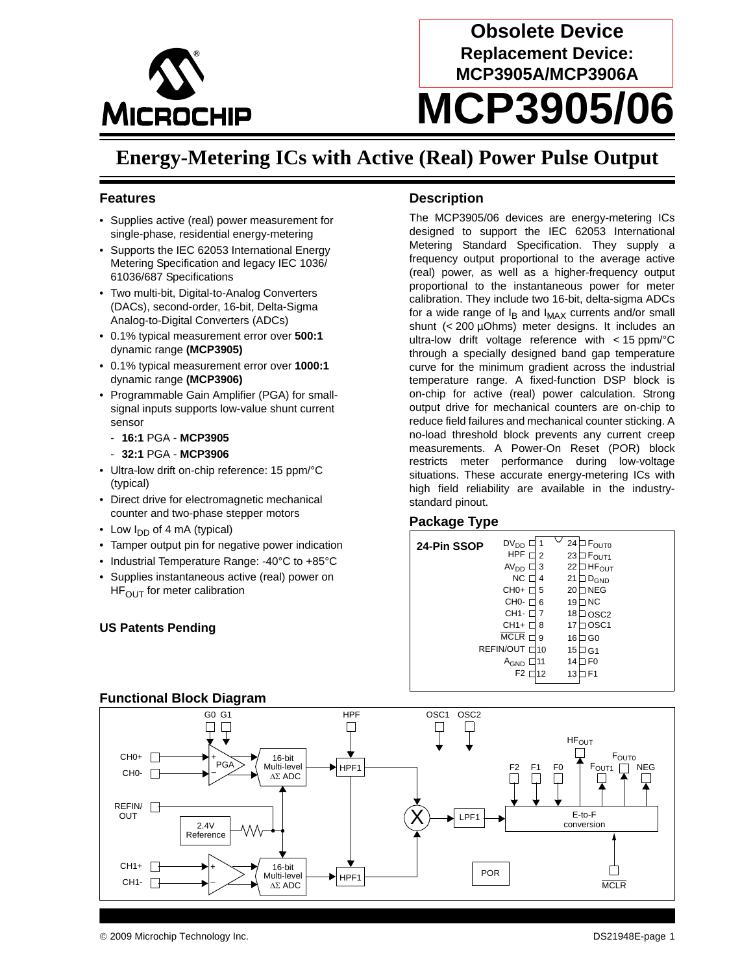

## **MCP3905/06 Obsolete Device Replacement Device: MCP3905A/MCP3906A**

## **Energy-Metering ICs with Active (Real) Power Pulse Output**

#### **Features**

- Supplies active (real) power measurement for single-phase, residential energy-metering
- Supports the IEC 62053 International Energy Metering Specification and legacy IEC 1036/ 61036/687 Specifications
- Two multi-bit, Digital-to-Analog Converters (DACs), second-order, 16-bit, Delta-Sigma Analog-to-Digital Converters (ADCs)
- 0.1% typical measurement error over **500:1** dynamic range **(MCP3905)**
- 0.1% typical measurement error over **1000:1** dynamic range **(MCP3906)**
- Programmable Gain Amplifier (PGA) for smallsignal inputs supports low-value shunt current sensor
	- **16:1** PGA **MCP3905**
	- **32:1** PGA **MCP3906**
- Ultra-low drift on-chip reference: 15 ppm/°C (typical)
- Direct drive for electromagnetic mechanical counter and two-phase stepper motors
- Low I<sub>DD</sub> of 4 mA (typical)
- Tamper output pin for negative power indication
- Industrial Temperature Range: -40°C to +85°C
- Supplies instantaneous active (real) power on  $HF<sub>OUT</sub>$  for meter calibration

#### **US Patents Pending**

#### **Functional Block Diagram**

#### **Description**

The MCP3905/06 devices are energy-metering ICs designed to support the IEC 62053 International Metering Standard Specification. They supply a frequency output proportional to the average active (real) power, as well as a higher-frequency output proportional to the instantaneous power for meter calibration. They include two 16-bit, delta-sigma ADCs for a wide range of  $I_B$  and  $I_{MAX}$  currents and/or small shunt (< 200 µOhms) meter designs. It includes an ultra-low drift voltage reference with < 15 ppm/°C through a specially designed band gap temperature curve for the minimum gradient across the industrial temperature range. A fixed-function DSP block is on-chip for active (real) power calculation. Strong output drive for mechanical counters are on-chip to reduce field failures and mechanical counter sticking. A no-load threshold block prevents any current creep measurements. A Power-On Reset (POR) block restricts meter performance during low-voltage situations. These accurate energy-metering ICs with high field reliability are available in the industrystandard pinout.

## **Package Type**



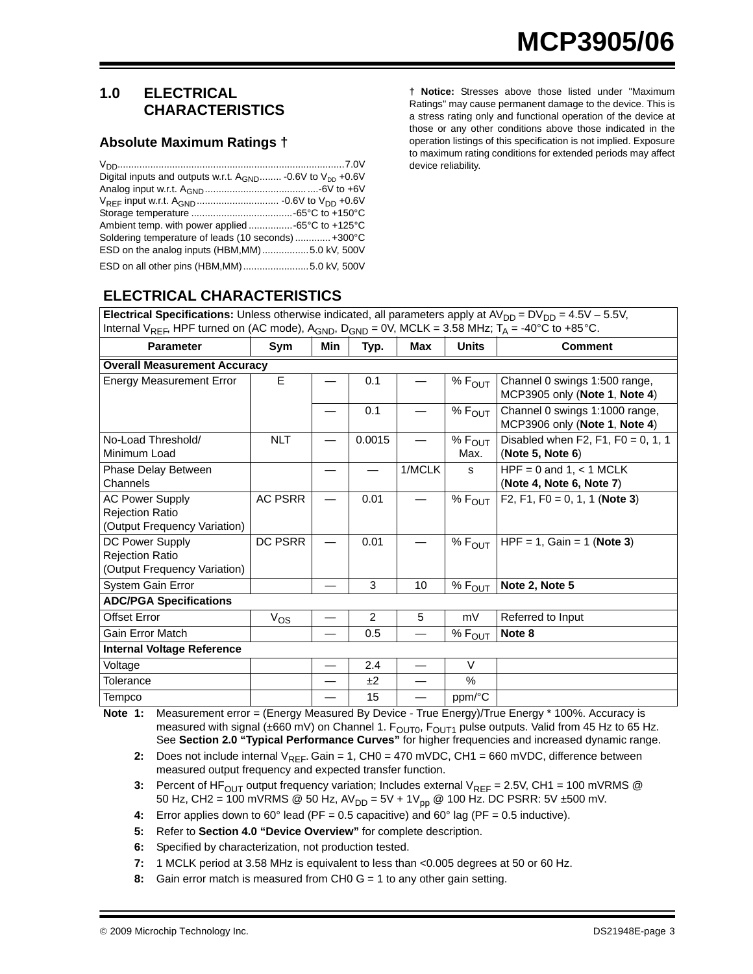## <span id="page-2-8"></span>**1.0 ELECTRICAL CHARACTERISTICS**

### **Absolute Maximum Ratings †**

| Digital inputs and outputs w.r.t. $A_{GND}$ -0.6V to $V_{DD}$ +0.6V |  |
|---------------------------------------------------------------------|--|
|                                                                     |  |
|                                                                     |  |
|                                                                     |  |
|                                                                     |  |
| Soldering temperature of leads (10 seconds)  +300°C                 |  |
| ESD on the analog inputs (HBM, MM)5.0 kV, 500V                      |  |
| ESD on all other pins (HBM, MM) 5.0 kV, 500V                        |  |

**† Notice:** Stresses above those listed under "Maximum Ratings" may cause permanent damage to the device. This is a stress rating only and functional operation of the device at those or any other conditions above those indicated in the operation listings of this specification is not implied. Exposure to maximum rating conditions for extended periods may affect device reliability.

## **ELECTRICAL CHARACTERISTICS**

| Electrical Specifications: Unless otherwise indicated, all parameters apply at $AV_{DD} = DV_{DD} = 4.5V - 5.5V$ ,<br>Internal V <sub>REF</sub> , HPF turned on (AC mode), A <sub>GND</sub> , D <sub>GND</sub> = 0V, MCLK = 3.58 MHz; T <sub>A</sub> = -40°C to +85°C. |            |                          |                |                          |                    |                                                                 |
|------------------------------------------------------------------------------------------------------------------------------------------------------------------------------------------------------------------------------------------------------------------------|------------|--------------------------|----------------|--------------------------|--------------------|-----------------------------------------------------------------|
| <b>Parameter</b>                                                                                                                                                                                                                                                       | Sym        | Min                      | Typ.           | <b>Max</b>               | <b>Units</b>       | <b>Comment</b>                                                  |
| <b>Overall Measurement Accuracy</b>                                                                                                                                                                                                                                    |            |                          |                |                          |                    |                                                                 |
| <b>Energy Measurement Error</b>                                                                                                                                                                                                                                        | E          |                          | 0.1            |                          | $%F_{OUT}$         | Channel 0 swings 1:500 range,<br>MCP3905 only (Note 1, Note 4)  |
|                                                                                                                                                                                                                                                                        |            |                          | 0.1            |                          | %F <sub>OUT</sub>  | Channel 0 swings 1:1000 range,<br>MCP3906 only (Note 1, Note 4) |
| No-Load Threshold/<br>Minimum Load                                                                                                                                                                                                                                     | <b>NLT</b> |                          | 0.0015         |                          | $%F_{OUT}$<br>Max. | Disabled when F2, F1, F0 = 0, 1, 1<br>(Note 5, Note 6)          |
| Phase Delay Between<br>Channels                                                                                                                                                                                                                                        |            |                          |                | 1/MCLK                   | s.                 | $HPF = 0$ and 1, < 1 MCLK<br>(Note 4, Note 6, Note 7)           |
| <b>AC Power Supply</b><br><b>Rejection Ratio</b><br>(Output Frequency Variation)                                                                                                                                                                                       | AC PSRR    |                          | 0.01           |                          | $%F_{OUT}$         | $F2, F1, F0 = 0, 1, 1$ (Note 3)                                 |
| DC Power Supply<br><b>Rejection Ratio</b><br>(Output Frequency Variation)                                                                                                                                                                                              | DC PSRR    |                          | 0.01           |                          | $%F_{OUT}$         | $HPF = 1$ , Gain = 1 ( <b>Note 3</b> )                          |
| System Gain Error                                                                                                                                                                                                                                                      |            |                          | 3              | 10 <sup>°</sup>          | %F <sub>OUT</sub>  | Note 2, Note 5                                                  |
| <b>ADC/PGA Specifications</b>                                                                                                                                                                                                                                          |            |                          |                |                          |                    |                                                                 |
| <b>Offset Error</b>                                                                                                                                                                                                                                                    | $V_{OS}$   |                          | $\overline{2}$ | 5                        | mV                 | Referred to Input                                               |
| <b>Gain Error Match</b>                                                                                                                                                                                                                                                |            |                          | 0.5            |                          | $%F_{OUT}$         | Note 8                                                          |
| <b>Internal Voltage Reference</b>                                                                                                                                                                                                                                      |            |                          |                |                          |                    |                                                                 |
| Voltage                                                                                                                                                                                                                                                                |            | $\overline{\phantom{0}}$ | 2.4            |                          | V                  |                                                                 |
| Tolerance                                                                                                                                                                                                                                                              |            |                          | ±2             | $\overline{\phantom{0}}$ | %                  |                                                                 |
| Tempco                                                                                                                                                                                                                                                                 |            |                          | 15             |                          | ppm/°C             |                                                                 |

<span id="page-2-0"></span>**Note 1:** Measurement error = (Energy Measured By Device - True Energy)/True Energy \* 100%. Accuracy is measured with signal ( $\pm 660$  mV) on Channel 1.  $F_{OUT0}$ ,  $F_{OUT1}$  pulse outputs. Valid from 45 Hz to 65 Hz. See **[Section 2.0 "Typical Performance Curves"](#page-6-0)** for higher frequencies and increased dynamic range.

- <span id="page-2-6"></span>**2:** Does not include internal V<sub>REF</sub>. Gain = 1, CH0 = 470 mVDC, CH1 = 660 mVDC, difference between measured output frequency and expected transfer function.
- <span id="page-2-5"></span>**3:** Percent of HF<sub>OUT</sub> output frequency variation; Includes external V<sub>REF</sub> = 2.5V, CH1 = 100 mVRMS @ 50 Hz, CH2 = 100 mVRMS @ 50 Hz,  $AV_{DD} = 5V + 1V_{pp}$  @ 100 Hz. DC PSRR: 5V ±500 mV.
- <span id="page-2-1"></span>**4:** Error applies down to 60° lead (PF = 0.5 capacitive) and 60° lag (PF = 0.5 inductive).
- <span id="page-2-2"></span>**5:** Refer to **[Section 4.0 "Device Overview"](#page-14-0)** for complete description.
- <span id="page-2-3"></span>**6:** Specified by characterization, not production tested.
- <span id="page-2-4"></span>**7:** 1 MCLK period at 3.58 MHz is equivalent to less than <0.005 degrees at 50 or 60 Hz.
- <span id="page-2-7"></span>**8:** Gain error match is measured from CH0 G = 1 to any other gain setting.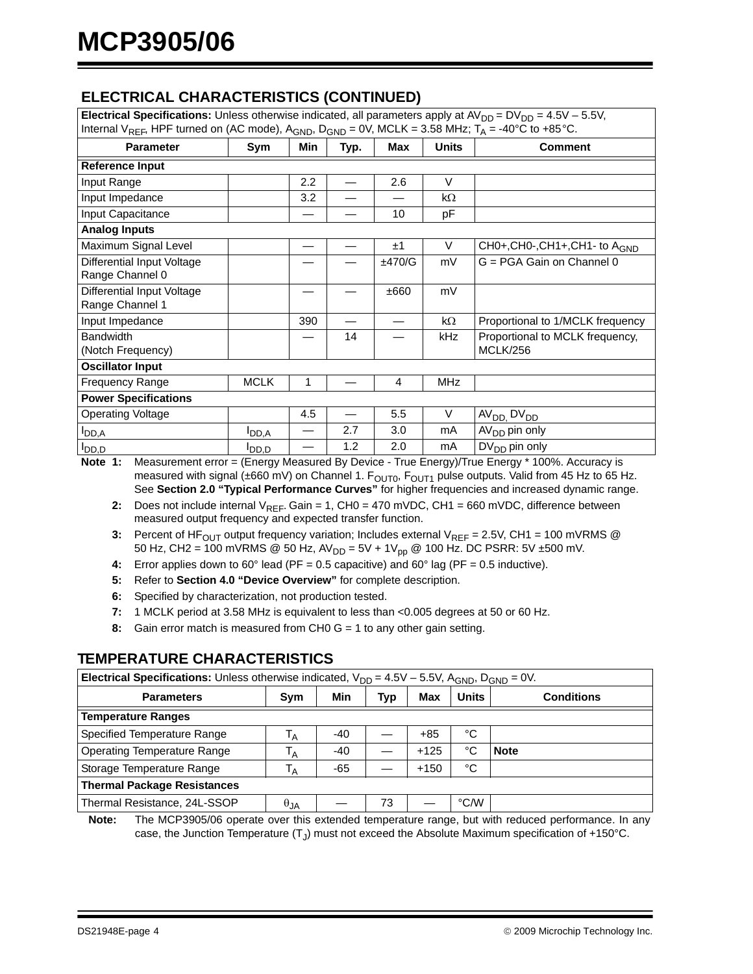## **ELECTRICAL CHARACTERISTICS (CONTINUED)**

| Electrical Specifications: Unless otherwise indicated, all parameters apply at $AV_{DD} = DV_{DD} = 4.5V - 5.5V$ ,<br>Internal V <sub>REF</sub> , HPF turned on (AC mode), A <sub>GND</sub> , D <sub>GND</sub> = 0V, MCLK = 3.58 MHz; T <sub>A</sub> = -40°C to +85°C. |                                                            |     |      |        |              |                                                                                                                  |
|------------------------------------------------------------------------------------------------------------------------------------------------------------------------------------------------------------------------------------------------------------------------|------------------------------------------------------------|-----|------|--------|--------------|------------------------------------------------------------------------------------------------------------------|
| <b>Parameter</b>                                                                                                                                                                                                                                                       | Sym                                                        | Min | Typ. | Max    | <b>Units</b> | <b>Comment</b>                                                                                                   |
| <b>Reference Input</b>                                                                                                                                                                                                                                                 |                                                            |     |      |        |              |                                                                                                                  |
| Input Range                                                                                                                                                                                                                                                            |                                                            | 2.2 |      | 2.6    | $\vee$       |                                                                                                                  |
| Input Impedance                                                                                                                                                                                                                                                        |                                                            | 3.2 |      |        | $k\Omega$    |                                                                                                                  |
| Input Capacitance                                                                                                                                                                                                                                                      |                                                            |     |      | 10     | pF           |                                                                                                                  |
| <b>Analog Inputs</b>                                                                                                                                                                                                                                                   |                                                            |     |      |        |              |                                                                                                                  |
| Maximum Signal Level                                                                                                                                                                                                                                                   |                                                            |     |      | ±1     | V            | CH0+,CH0-,CH1+,CH1- to A <sub>GND</sub>                                                                          |
| Differential Input Voltage                                                                                                                                                                                                                                             |                                                            |     |      | ±470/G | mV           | G = PGA Gain on Channel 0                                                                                        |
| Range Channel 0                                                                                                                                                                                                                                                        |                                                            |     |      |        |              |                                                                                                                  |
| Differential Input Voltage<br>Range Channel 1                                                                                                                                                                                                                          |                                                            |     |      | ±660   | mV           |                                                                                                                  |
| Input Impedance                                                                                                                                                                                                                                                        |                                                            | 390 |      |        | kΩ           | Proportional to 1/MCLK frequency                                                                                 |
| <b>Bandwidth</b><br>(Notch Frequency)                                                                                                                                                                                                                                  |                                                            |     | 14   |        | kHz          | Proportional to MCLK frequency,<br><b>MCLK/256</b>                                                               |
| <b>Oscillator Input</b>                                                                                                                                                                                                                                                |                                                            |     |      |        |              |                                                                                                                  |
| Frequency Range                                                                                                                                                                                                                                                        | <b>MCLK</b>                                                | 1   |      | 4      | <b>MHz</b>   |                                                                                                                  |
| <b>Power Specifications</b>                                                                                                                                                                                                                                            |                                                            |     |      |        |              |                                                                                                                  |
| <b>Operating Voltage</b>                                                                                                                                                                                                                                               |                                                            | 4.5 |      | 5.5    | V            | $AVDD$ , $DVDD$                                                                                                  |
| $I_{DD,A}$                                                                                                                                                                                                                                                             | $I_{DD,A}$                                                 |     | 2.7  | 3.0    | mA           | AV <sub>DD</sub> pin only                                                                                        |
| $I_{DD,D}$<br>Massius seart ages<br>Mata da l                                                                                                                                                                                                                          | <b>I</b> DD.D<br>$(T_{\text{meas}} \cdot M_{\text{meas}})$ |     | 1.2  | 2.0    | mA           | $DV_{DD}$ pin only<br>$T_{max}$ $\Gamma_{max}$ $\sqrt{T_{max}}$ $\Gamma_{max}$ $\neq$ 4000/ A series $\Gamma$ is |

**Note 1:** Measurement error = (Energy Measured By Device - True Energy)/True Energy \* 100%. Accuracy is measured with signal ( $\pm 660$  mV) on Channel 1. F<sub>OUT0</sub>, F<sub>OUT1</sub> pulse outputs. Valid from 45 Hz to 65 Hz. See **Section 2.0 "Typical Performance Curves"** for higher frequencies and increased dynamic range.

**2:** Does not include internal  $V_{REF}$ . Gain = 1, CH0 = 470 mVDC, CH1 = 660 mVDC, difference between measured output frequency and expected transfer function.

- **3:** Percent of HF<sub>OUT</sub> output frequency variation; Includes external  $V_{REF} = 2.5V$ , CH1 = 100 mVRMS @ 50 Hz, CH2 = 100 mVRMS @ 50 Hz,  $AV_{DD} = 5V + 1V_{pp}$  @ 100 Hz. DC PSRR: 5V ±500 mV.
- **4:** Error applies down to 60° lead (PF = 0.5 capacitive) and 60° lag (PF = 0.5 inductive).
- **5:** Refer to **Section 4.0 "Device Overview"** for complete description.
- **6:** Specified by characterization, not production tested.
- **7:** 1 MCLK period at 3.58 MHz is equivalent to less than <0.005 degrees at 50 or 60 Hz.
- **8:** Gain error match is measured from CH0 G = 1 to any other gain setting.

## **TEMPERATURE CHARACTERISTICS**

| <b>Electrical Specifications:</b> Unless otherwise indicated, $V_{DD} = 4.5V - 5.5V$ , A <sub>GND</sub> , D <sub>GND</sub> = 0V. |                         |     |     |        |              |                   |
|----------------------------------------------------------------------------------------------------------------------------------|-------------------------|-----|-----|--------|--------------|-------------------|
| <b>Parameters</b>                                                                                                                | Sym                     | Min | Typ | Max    | <b>Units</b> | <b>Conditions</b> |
| <b>Temperature Ranges</b>                                                                                                        |                         |     |     |        |              |                   |
| Specified Temperature Range                                                                                                      | $\mathsf{T}_\mathsf{A}$ | -40 |     | $+85$  | °C           |                   |
| <b>Operating Temperature Range</b>                                                                                               | T <sub>A</sub>          | -40 |     | $+125$ | °C           | <b>Note</b>       |
| Storage Temperature Range                                                                                                        | $\mathsf{T}_\mathsf{A}$ | -65 |     | $+150$ | °C           |                   |
| <b>Thermal Package Resistances</b>                                                                                               |                         |     |     |        |              |                   |
| Thermal Resistance, 24L-SSOP                                                                                                     | $\theta_{JA}$           |     | 73  |        | °C/W         |                   |

<span id="page-3-0"></span>**Note:** The MCP3905/06 operate over this extended temperature range, but with reduced performance. In any case, the Junction Temperature  $(T<sub>1</sub>)$  must not exceed the Absolute Maximum specification of +150°C.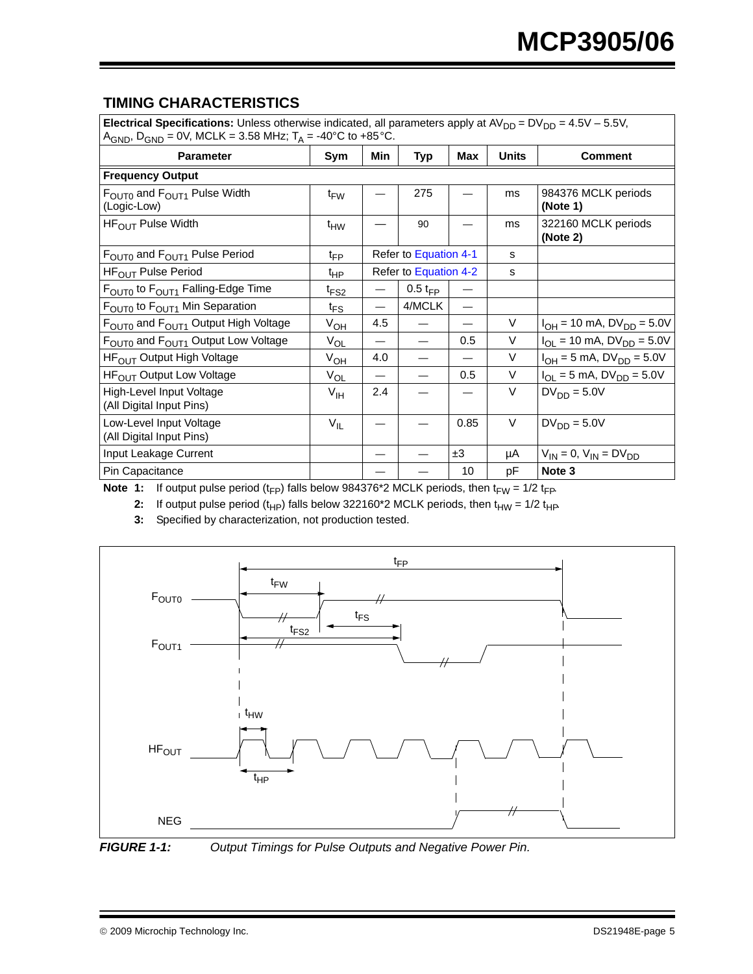## <span id="page-4-3"></span>**TIMING CHARACTERISTICS**

**Electrical Specifications:** Unless otherwise indicated, all parameters apply at  $AV_{DD} = DV_{DD} = 4.5V - 5.5V$ ,  $A_{GND}$ , D<sub>GND</sub> = 0V, MCLK = 3.58 MHz; T<sub>A</sub> = -40°C to +85°C.

| ◡◝◡<br>ᄓ៴<br>$\sqrt{ }$                                            |                  |     |                              |                          |              |                                           |
|--------------------------------------------------------------------|------------------|-----|------------------------------|--------------------------|--------------|-------------------------------------------|
| <b>Parameter</b>                                                   | Sym              | Min | <b>Typ</b>                   | Max                      | <b>Units</b> | <b>Comment</b>                            |
| <b>Frequency Output</b>                                            |                  |     |                              |                          |              |                                           |
| F <sub>OUT0</sub> and F <sub>OUT1</sub> Pulse Width<br>(Logic-Low) | $t_{FW}$         |     | 275                          |                          | ms           | 984376 MCLK periods<br>(Note 1)           |
| $HFOUT$ Pulse Width                                                | t <sub>HW</sub>  |     | 90                           |                          | ms           | 322160 MCLK periods<br>(Note 2)           |
| F <sub>OUT0</sub> and F <sub>OUT1</sub> Pulse Period               | t <sub>FP</sub>  |     | <b>Refer to Equation 4-1</b> |                          | s            |                                           |
| HF <sub>OUT</sub> Pulse Period                                     | t <sub>HP</sub>  |     | Refer to Equation 4-2        |                          | s            |                                           |
| F <sub>OUT0</sub> to F <sub>OUT1</sub> Falling-Edge Time           | t <sub>FS2</sub> |     | $0.5 t_{FP}$                 |                          |              |                                           |
| F <sub>OUT0</sub> to F <sub>OUT1</sub> Min Separation              | $t_{FS}$         | —   | 4/MCLK                       | $\equiv$                 |              |                                           |
| F <sub>OUT0</sub> and F <sub>OUT1</sub> Output High Voltage        | V <sub>OH</sub>  | 4.5 |                              | $\overline{\phantom{0}}$ | V            | $I_{OH}$ = 10 mA, DV <sub>DD</sub> = 5.0V |
| F <sub>OUT0</sub> and F <sub>OUT1</sub> Output Low Voltage         | $V_{OL}$         |     |                              | 0.5                      | V            | $I_{OL}$ = 10 mA, DV <sub>DD</sub> = 5.0V |
| HF <sub>OUT</sub> Output High Voltage                              | V <sub>OH</sub>  | 4.0 |                              |                          | $\vee$       | $I_{OH} = 5$ mA, $DV_{DD} = 5.0V$         |
| HF <sub>OUT</sub> Output Low Voltage                               | $V_{OL}$         |     |                              | 0.5                      | $\vee$       | $I_{OL} = 5$ mA, $DV_{DD} = 5.0V$         |
| High-Level Input Voltage<br>(All Digital Input Pins)               | $V_{\text{IH}}$  | 2.4 |                              |                          | $\vee$       | $DV_{DD} = 5.0V$                          |
| Low-Level Input Voltage<br>(All Digital Input Pins)                | $V_{IL}$         |     |                              | 0.85                     | $\vee$       | $DV_{DD} = 5.0V$                          |
| Input Leakage Current                                              |                  |     |                              | ±3                       | μA           | $V_{IN} = 0$ , $V_{IN} = DV_{DD}$         |
| Pin Capacitance                                                    |                  |     |                              | 10                       | pF           | Note 3                                    |

<span id="page-4-1"></span><span id="page-4-0"></span>**Note 1:** If output pulse period ( $t_{FP}$ ) falls below 984376\*2 MCLK periods, then  $t_{FW} = 1/2$   $t_{FP}$ .

**2:** If output pulse period ( $t_{HP}$ ) falls below 322160\*2 MCLK periods, then  $t_{HW} = 1/2$   $t_{HP}$ .

**3:** Specified by characterization, not production tested.

<span id="page-4-2"></span>

<span id="page-4-4"></span>*FIGURE 1-1: Output Timings for Pulse Outputs and Negative Power Pin.*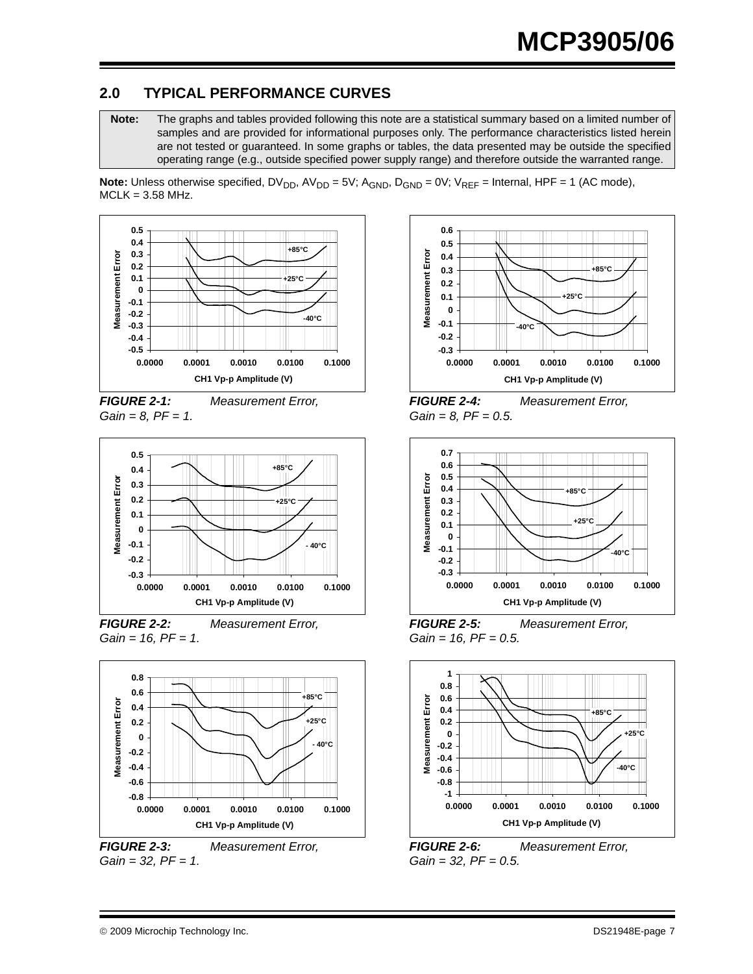## <span id="page-6-1"></span><span id="page-6-0"></span>**2.0 TYPICAL PERFORMANCE CURVES**

**Note:** The graphs and tables provided following this note are a statistical summary based on a limited number of samples and are provided for informational purposes only. The performance characteristics listed herein are not tested or guaranteed. In some graphs or tables, the data presented may be outside the specified operating range (e.g., outside specified power supply range) and therefore outside the warranted range.



*FIGURE 2-1: Measurement Error, Gain = 8, PF = 1.*



*FIGURE 2-2: Measurement Error, Gain = 16, PF = 1.*



*FIGURE 2-3: Measurement Error, Gain = 32, PF = 1.*



*FIGURE 2-4: Measurement Error, Gain = 8, PF = 0.5.*



*FIGURE 2-5: Measurement Error, Gain = 16, PF = 0.5.*



*FIGURE 2-6: Measurement Error, Gain = 32, PF = 0.5.*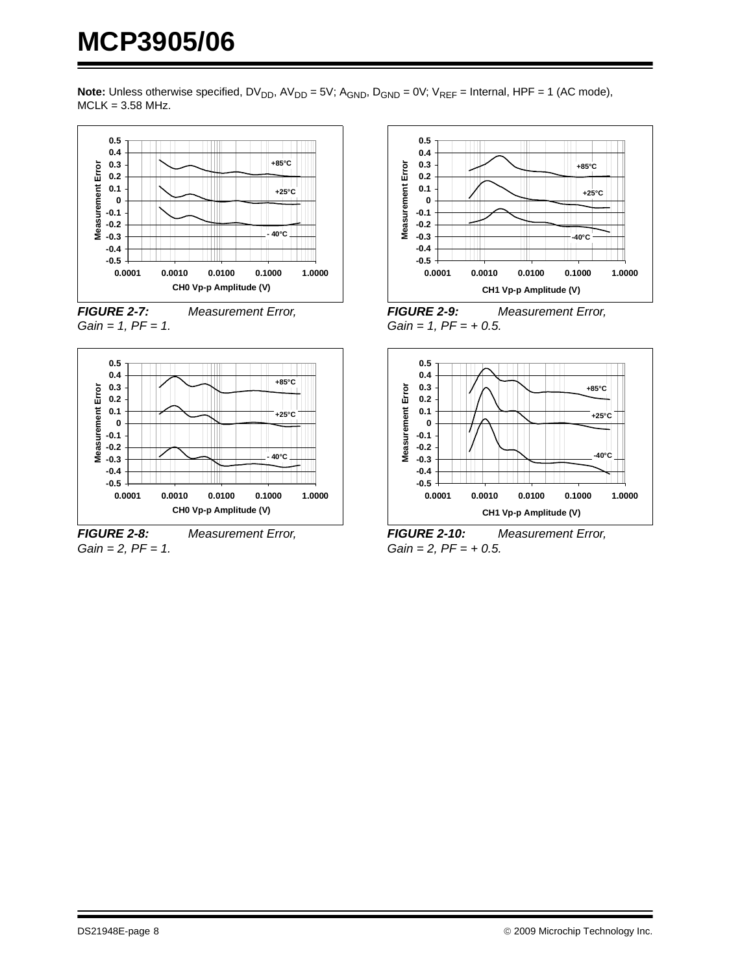





*FIGURE 2-8: Measurement Error, Gain = 2, PF = 1.*



*FIGURE 2-9: Measurement Error, Gain = 1, PF = + 0.5.*



*FIGURE 2-10: Measurement Error, Gain = 2, PF = + 0.5.*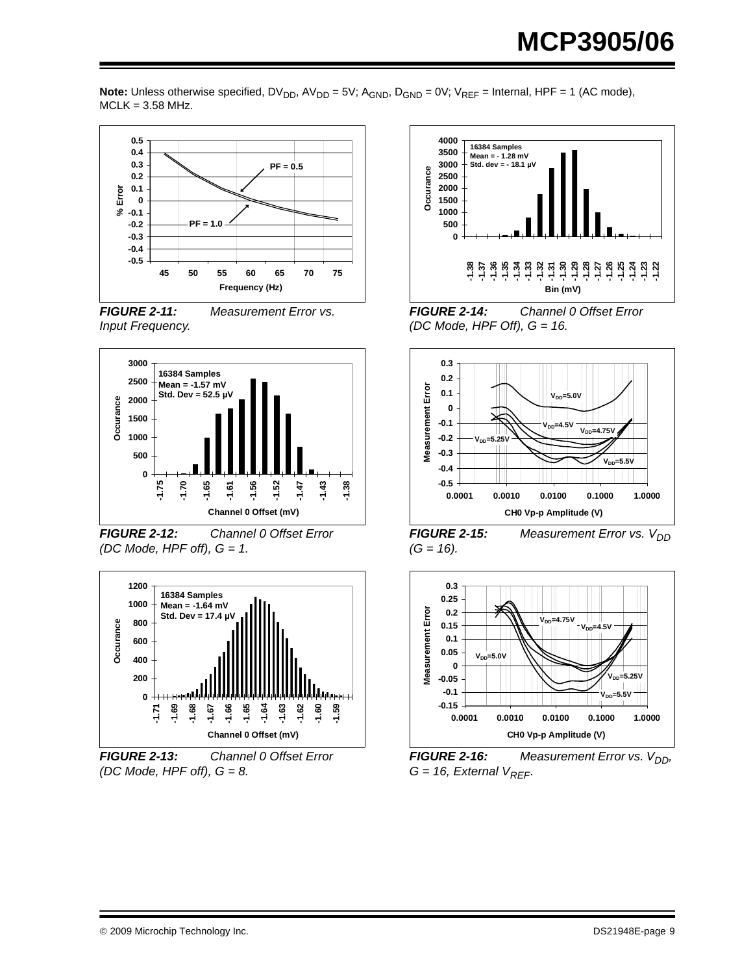





*FIGURE 2-12: Channel 0 Offset Error (DC Mode, HPF off), G = 1.*



*FIGURE 2-13: Channel 0 Offset Error (DC Mode, HPF off), G = 8.*



*FIGURE 2-14: Channel 0 Offset Error (DC Mode, HPF Off), G = 16.*



*FIGURE 2-15: Measurement Error vs.*  $V_{DD}$ *(G = 16).*



**FIGURE 2-16:** Measurement Error vs. V<sub>DD</sub>,  $G = 16$ , External  $V_{RFF}$ .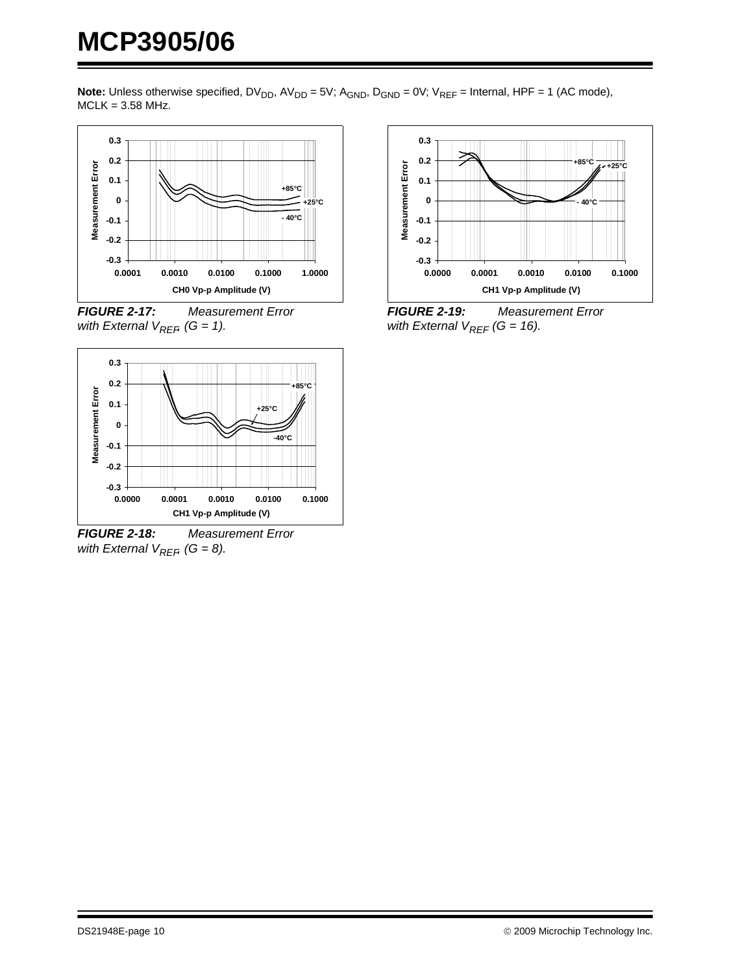

*FIGURE 2-17: Measurement Error*  with External  $V_{REF}$  (G = 1).



*FIGURE 2-18: Measurement Error*  with External  $V_{REF}$  (G = 8).



*FIGURE 2-19: Measurement Error with External V<sub>REF</sub> (G = 16).*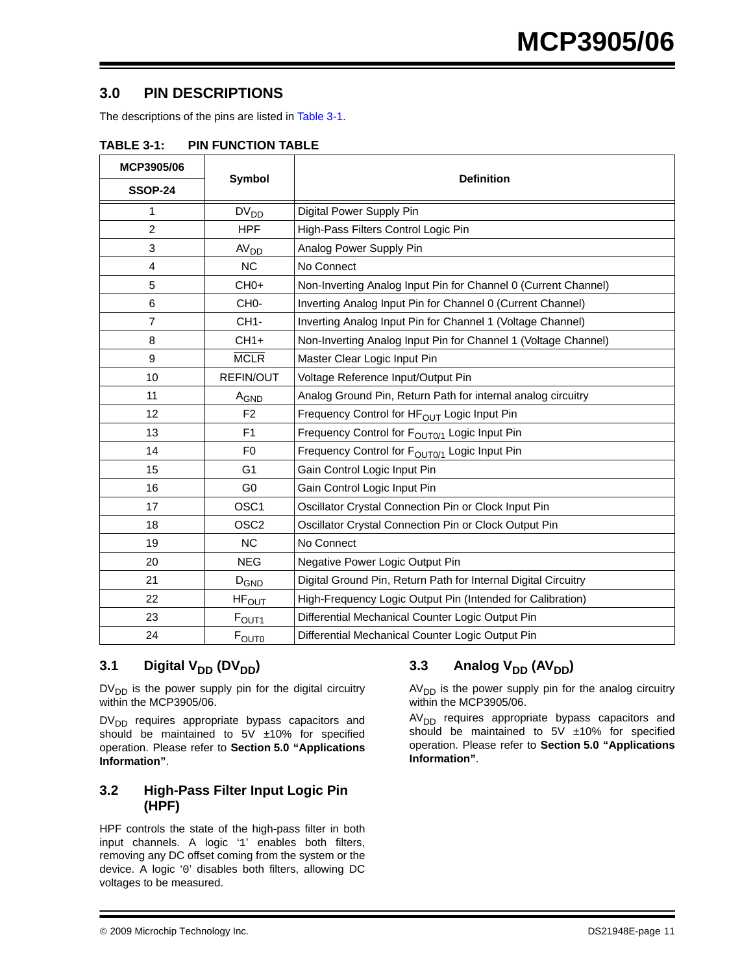## **3.0 PIN DESCRIPTIONS**

The descriptions of the pins are listed in [Table 3-1.](#page-10-0)

| MCP3905/06     |                   |                                                                |  |
|----------------|-------------------|----------------------------------------------------------------|--|
| <b>SSOP-24</b> | Symbol            | <b>Definition</b>                                              |  |
| 1              | DV <sub>DD</sub>  | Digital Power Supply Pin                                       |  |
| $\overline{2}$ | <b>HPF</b>        | High-Pass Filters Control Logic Pin                            |  |
| 3              | AV <sub>DD</sub>  | Analog Power Supply Pin                                        |  |
| 4              | <b>NC</b>         | No Connect                                                     |  |
| 5              | $CHO+$            | Non-Inverting Analog Input Pin for Channel 0 (Current Channel) |  |
| 6              | CH <sub>0</sub> - | Inverting Analog Input Pin for Channel 0 (Current Channel)     |  |
| $\overline{7}$ | <b>CH1-</b>       | Inverting Analog Input Pin for Channel 1 (Voltage Channel)     |  |
| 8              | $CH1+$            | Non-Inverting Analog Input Pin for Channel 1 (Voltage Channel) |  |
| 9              | <b>MCLR</b>       | Master Clear Logic Input Pin                                   |  |
| 10             | <b>REFIN/OUT</b>  | Voltage Reference Input/Output Pin                             |  |
| 11             | A <sub>GND</sub>  | Analog Ground Pin, Return Path for internal analog circuitry   |  |
| 12             | F <sub>2</sub>    | Frequency Control for HF <sub>OUT</sub> Logic Input Pin        |  |
| 13             | F1                | Frequency Control for F <sub>OUT0/1</sub> Logic Input Pin      |  |
| 14             | F <sub>0</sub>    | Frequency Control for F <sub>OUT0/1</sub> Logic Input Pin      |  |
| 15             | G <sub>1</sub>    | Gain Control Logic Input Pin                                   |  |
| 16             | G <sub>0</sub>    | Gain Control Logic Input Pin                                   |  |
| 17             | OSC <sub>1</sub>  | Oscillator Crystal Connection Pin or Clock Input Pin           |  |
| 18             | OSC <sub>2</sub>  | Oscillator Crystal Connection Pin or Clock Output Pin          |  |
| 19             | <b>NC</b>         | No Connect                                                     |  |
| 20             | <b>NEG</b>        | Negative Power Logic Output Pin                                |  |
| 21             | $D_{GND}$         | Digital Ground Pin, Return Path for Internal Digital Circuitry |  |
| 22             | HF <sub>OUT</sub> | High-Frequency Logic Output Pin (Intended for Calibration)     |  |
| 23             | $F_{\text{OUT1}}$ | Differential Mechanical Counter Logic Output Pin               |  |
| 24             | <b>FOUTO</b>      | Differential Mechanical Counter Logic Output Pin               |  |

### <span id="page-10-0"></span>**TABLE 3-1: PIN FUNCTION TABLE**

## **3.1** Digital V<sub>DD</sub> (DV<sub>DD</sub>)

 $DV<sub>DD</sub>$  is the power supply pin for the digital circuitry within the MCP3905/06.

 $DV<sub>DD</sub>$  requires appropriate bypass capacitors and should be maintained to 5V ±10% for specified operation. Please refer to **[Section 5.0 "Applications](#page-20-0) [Information"](#page-20-0)**.

#### <span id="page-10-1"></span>**3.2 High-Pass Filter Input Logic Pin (HPF)**

HPF controls the state of the high-pass filter in both input channels. A logic '1' enables both filters, removing any DC offset coming from the system or the device. A logic '0' disables both filters, allowing DC voltages to be measured.

## **3.3** Analog V<sub>DD</sub> (AV<sub>DD</sub>)

 $AV<sub>DD</sub>$  is the power supply pin for the analog circuitry within the MCP3905/06.

 $AV<sub>DD</sub>$  requires appropriate bypass capacitors and should be maintained to 5V ±10% for specified operation. Please refer to **[Section 5.0 "Applications](#page-20-0) [Information"](#page-20-0)**.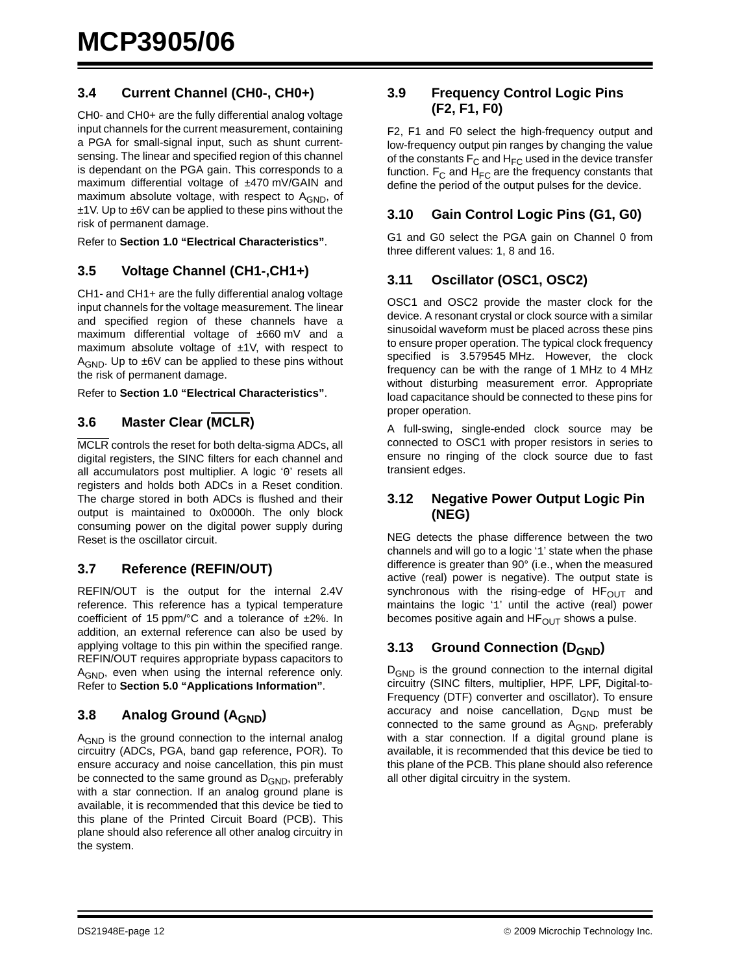### **3.4 Current Channel (CH0-, CH0+)**

CH0- and CH0+ are the fully differential analog voltage input channels for the current measurement, containing a PGA for small-signal input, such as shunt currentsensing. The linear and specified region of this channel is dependant on the PGA gain. This corresponds to a maximum differential voltage of ±470 mV/GAIN and maximum absolute voltage, with respect to A<sub>GND</sub>, of ±1V. Up to ±6V can be applied to these pins without the risk of permanent damage.

Refer to **[Section 1.0 "Electrical Characteristics"](#page-2-8)**.

#### **3.5 Voltage Channel (CH1-,CH1+)**

CH1- and CH1+ are the fully differential analog voltage input channels for the voltage measurement. The linear and specified region of these channels have a maximum differential voltage of ±660 mV and a maximum absolute voltage of  $±1V$ , with respect to  $A_{GND}$ . Up to  $\pm 6V$  can be applied to these pins without the risk of permanent damage.

Refer to **[Section 1.0 "Electrical Characteristics"](#page-2-8)**.

### **3.6 Master Clear (MCLR)**

MCLR controls the reset for both delta-sigma ADCs, all digital registers, the SINC filters for each channel and all accumulators post multiplier. A logic '0' resets all registers and holds both ADCs in a Reset condition. The charge stored in both ADCs is flushed and their output is maintained to 0x0000h. The only block consuming power on the digital power supply during Reset is the oscillator circuit.

#### **3.7 Reference (REFIN/OUT)**

REFIN/OUT is the output for the internal 2.4V reference. This reference has a typical temperature coefficient of 15 ppm/°C and a tolerance of ±2%. In addition, an external reference can also be used by applying voltage to this pin within the specified range. REFIN/OUT requires appropriate bypass capacitors to A<sub>GND</sub>, even when using the internal reference only. Refer to **[Section 5.0 "Applications Information"](#page-20-0)**.

#### **3.8 Analog Ground (AGND)**

A<sub>GND</sub> is the ground connection to the internal analog circuitry (ADCs, PGA, band gap reference, POR). To ensure accuracy and noise cancellation, this pin must be connected to the same ground as  $D_{GND}$ , preferably with a star connection. If an analog ground plane is available, it is recommended that this device be tied to this plane of the Printed Circuit Board (PCB). This plane should also reference all other analog circuitry in the system.

#### **3.9 Frequency Control Logic Pins (F2, F1, F0)**

F2, F1 and F0 select the high-frequency output and low-frequency output pin ranges by changing the value of the constants  $F_C$  and  $H_{FC}$  used in the device transfer function.  $F_C$  and  $H_{FC}$  are the frequency constants that define the period of the output pulses for the device.

#### **3.10 Gain Control Logic Pins (G1, G0)**

G1 and G0 select the PGA gain on Channel 0 from three different values: 1, 8 and 16.

#### **3.11 Oscillator (OSC1, OSC2)**

OSC1 and OSC2 provide the master clock for the device. A resonant crystal or clock source with a similar sinusoidal waveform must be placed across these pins to ensure proper operation. The typical clock frequency specified is 3.579545 MHz. However, the clock frequency can be with the range of 1 MHz to 4 MHz without disturbing measurement error. Appropriate load capacitance should be connected to these pins for proper operation.

A full-swing, single-ended clock source may be connected to OSC1 with proper resistors in series to ensure no ringing of the clock source due to fast transient edges.

#### **3.12 Negative Power Output Logic Pin (NEG)**

NEG detects the phase difference between the two channels and will go to a logic '1' state when the phase difference is greater than 90° (i.e., when the measured active (real) power is negative). The output state is synchronous with the rising-edge of  $HF_{\text{OUT}}$  and maintains the logic '1' until the active (real) power becomes positive again and  $HF_{\text{OUT}}$  shows a pulse.

## **3.13 Ground Connection (D<sub>GND</sub>)**

D<sub>GND</sub> is the ground connection to the internal digital circuitry (SINC filters, multiplier, HPF, LPF, Digital-to-Frequency (DTF) converter and oscillator). To ensure accuracy and noise cancellation, D<sub>GND</sub> must be connected to the same ground as  $A_{GND}$ , preferably with a star connection. If a digital ground plane is available, it is recommended that this device be tied to this plane of the PCB. This plane should also reference all other digital circuitry in the system.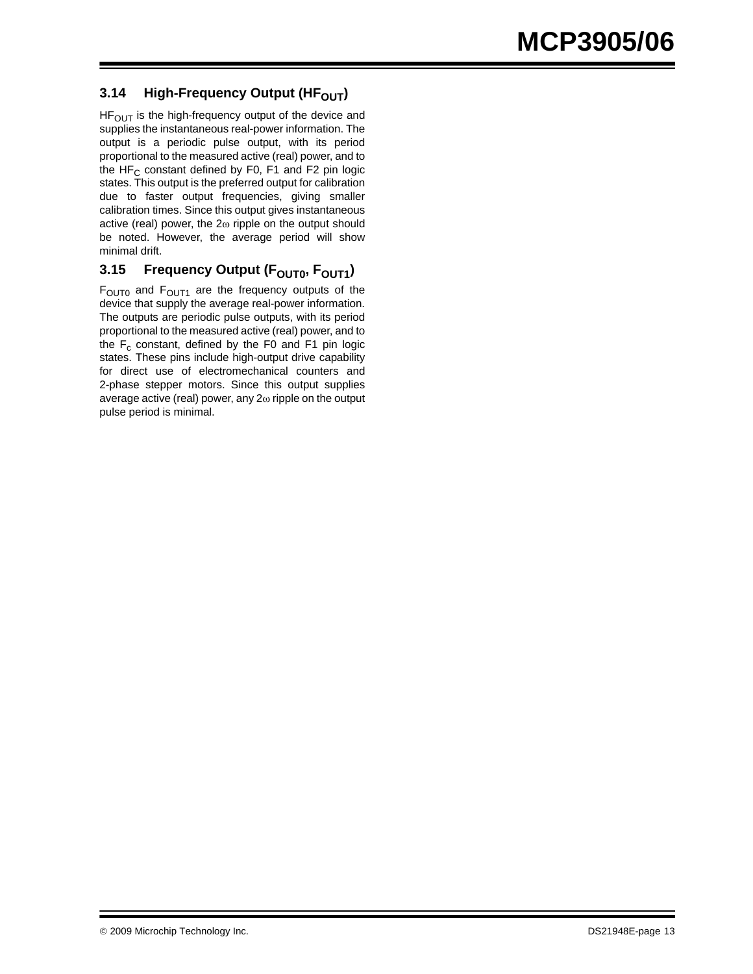## 3.14 High-Frequency Output (HF<sub>OUT</sub>)

 $HF<sub>OUT</sub>$  is the high-frequency output of the device and supplies the instantaneous real-power information. The output is a periodic pulse output, with its period proportional to the measured active (real) power, and to the HF<sub>C</sub> constant defined by F0, F1 and F2 pin logic states. This output is the preferred output for calibration due to faster output frequencies, giving smaller calibration times. Since this output gives instantaneous active (real) power, the 2ω ripple on the output should be noted. However, the average period will show minimal drift.

## 3.15 Frequency Output (F<sub>OUT0</sub>, F<sub>OUT1</sub>)

 $F<sub>OUT0</sub>$  and  $F<sub>OUT1</sub>$  are the frequency outputs of the device that supply the average real-power information. The outputs are periodic pulse outputs, with its period proportional to the measured active (real) power, and to the  $F_c$  constant, defined by the F0 and F1 pin logic states. These pins include high-output drive capability for direct use of electromechanical counters and 2-phase stepper motors. Since this output supplies average active (real) power, any 2ω ripple on the output pulse period is minimal.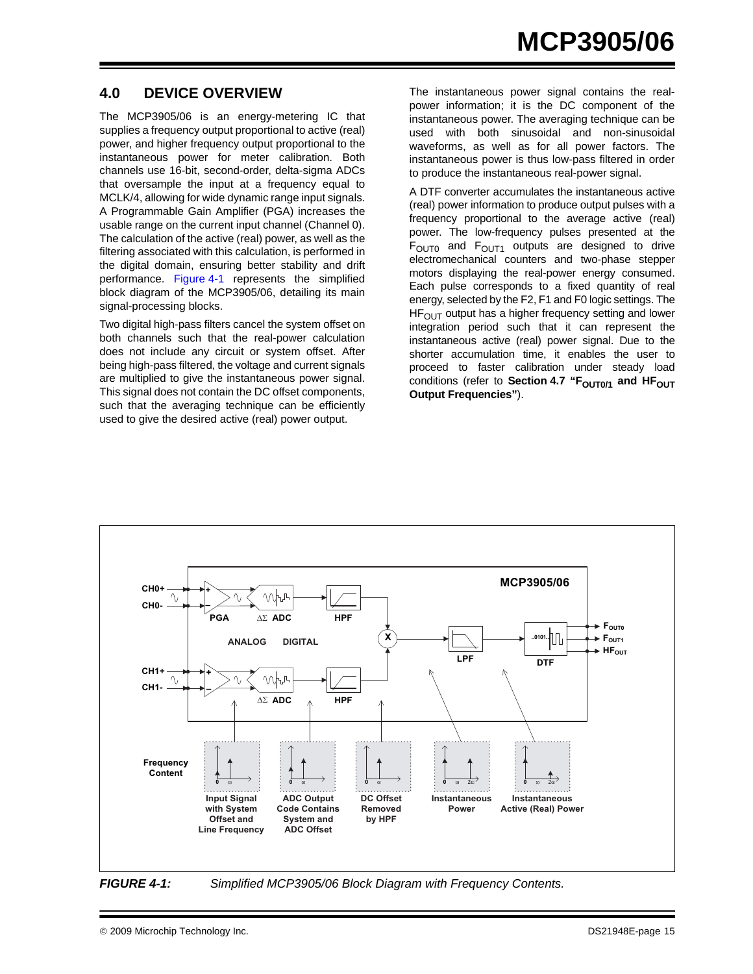## <span id="page-14-0"></span>**4.0 DEVICE OVERVIEW**

The MCP3905/06 is an energy-metering IC that supplies a frequency output proportional to active (real) power, and higher frequency output proportional to the instantaneous power for meter calibration. Both channels use 16-bit, second-order, delta-sigma ADCs that oversample the input at a frequency equal to MCLK/4, allowing for wide dynamic range input signals. A Programmable Gain Amplifier (PGA) increases the usable range on the current input channel (Channel 0). The calculation of the active (real) power, as well as the filtering associated with this calculation, is performed in the digital domain, ensuring better stability and drift performance. [Figure 4-1](#page-14-1) represents the simplified block diagram of the MCP3905/06, detailing its main signal-processing blocks.

Two digital high-pass filters cancel the system offset on both channels such that the real-power calculation does not include any circuit or system offset. After being high-pass filtered, the voltage and current signals are multiplied to give the instantaneous power signal. This signal does not contain the DC offset components, such that the averaging technique can be efficiently used to give the desired active (real) power output.

The instantaneous power signal contains the realpower information; it is the DC component of the instantaneous power. The averaging technique can be used with both sinusoidal and non-sinusoidal waveforms, as well as for all power factors. The instantaneous power is thus low-pass filtered in order to produce the instantaneous real-power signal.

A DTF converter accumulates the instantaneous active (real) power information to produce output pulses with a frequency proportional to the average active (real) power. The low-frequency pulses presented at the  $F<sub>OUT0</sub>$  and  $F<sub>OUT1</sub>$  outputs are designed to drive electromechanical counters and two-phase stepper motors displaying the real-power energy consumed. Each pulse corresponds to a fixed quantity of real energy, selected by the F2, F1 and F0 logic settings. The  $HF<sub>OUT</sub>$  output has a higher frequency setting and lower integration period such that it can represent the instantaneous active (real) power signal. Due to the shorter accumulation time, it enables the user to proceed to faster calibration under steady load conditions (refer to **Section 4.7** "F<sub>OUT0/1</sub> and HF<sub>OUT</sub> **[Output Frequencies"](#page-18-1)**).



<span id="page-14-1"></span>*FIGURE 4-1: Simplified MCP3905/06 Block Diagram with Frequency Contents.*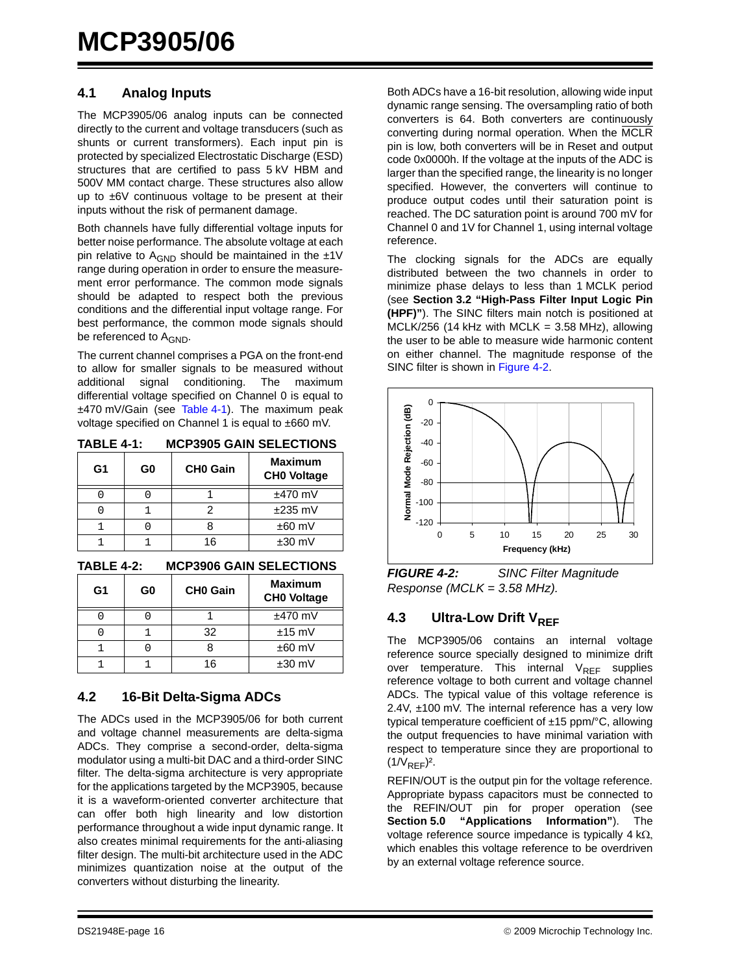### **4.1 Analog Inputs**

The MCP3905/06 analog inputs can be connected directly to the current and voltage transducers (such as shunts or current transformers). Each input pin is protected by specialized Electrostatic Discharge (ESD) structures that are certified to pass 5 kV HBM and 500V MM contact charge. These structures also allow up to ±6V continuous voltage to be present at their inputs without the risk of permanent damage.

Both channels have fully differential voltage inputs for better noise performance. The absolute voltage at each pin relative to  $A_{GND}$  should be maintained in the  $±1V$ range during operation in order to ensure the measurement error performance. The common mode signals should be adapted to respect both the previous conditions and the differential input voltage range. For best performance, the common mode signals should be referenced to A<sub>GND</sub>.

The current channel comprises a PGA on the front-end to allow for smaller signals to be measured without additional signal conditioning. The maximum differential voltage specified on Channel 0 is equal to ±470 mV/Gain (see [Table 4-1\)](#page-15-0). The maximum peak voltage specified on Channel 1 is equal to ±660 mV.

<span id="page-15-0"></span>

| <b>MCP3905 GAIN SELECTIONS</b><br><b>TABLE 4-1:</b> |
|-----------------------------------------------------|
|-----------------------------------------------------|

| G1 | G <sub>0</sub> | <b>CHO Gain</b> | <b>Maximum</b><br><b>CHO Voltage</b> |
|----|----------------|-----------------|--------------------------------------|
|    |                |                 | $±470$ mV                            |
|    |                |                 | $±235$ mV                            |
|    |                |                 | $±60$ mV                             |
|    |                | 16              | $±30$ mV                             |

**TABLE 4-2: MCP3906 GAIN SELECTIONS**

| G1 | G <sub>0</sub> | <b>CHO Gain</b> | <b>Maximum</b><br><b>CHO Voltage</b> |
|----|----------------|-----------------|--------------------------------------|
|    |                |                 | $±470$ mV                            |
|    |                | 32              | $±15$ mV                             |
|    |                |                 | $±60$ mV                             |
|    |                | 16              | $±30$ mV                             |

## **4.2 16-Bit Delta-Sigma ADCs**

The ADCs used in the MCP3905/06 for both current and voltage channel measurements are delta-sigma ADCs. They comprise a second-order, delta-sigma modulator using a multi-bit DAC and a third-order SINC filter. The delta-sigma architecture is very appropriate for the applications targeted by the MCP3905, because it is a waveform-oriented converter architecture that can offer both high linearity and low distortion performance throughout a wide input dynamic range. It also creates minimal requirements for the anti-aliasing filter design. The multi-bit architecture used in the ADC minimizes quantization noise at the output of the converters without disturbing the linearity.

Both ADCs have a 16-bit resolution, allowing wide input dynamic range sensing. The oversampling ratio of both converters is 64. Both converters are continuously converting during normal operation. When the MCLR pin is low, both converters will be in Reset and output code 0x0000h. If the voltage at the inputs of the ADC is larger than the specified range, the linearity is no longer specified. However, the converters will continue to produce output codes until their saturation point is reached. The DC saturation point is around 700 mV for Channel 0 and 1V for Channel 1, using internal voltage reference.

The clocking signals for the ADCs are equally distributed between the two channels in order to minimize phase delays to less than 1 MCLK period (see **[Section 3.2 "High-Pass Filter Input Logic Pin](#page-10-1) [\(HPF\)"](#page-10-1)**). The SINC filters main notch is positioned at  $MCLK/256$  (14 kHz with  $MCLK = 3.58$  MHz), allowing the user to be able to measure wide harmonic content on either channel. The magnitude response of the SINC filter is shown in [Figure 4-2](#page-15-1).



<span id="page-15-1"></span>*FIGURE 4-2: SINC Filter Magnitude Response (MCLK = 3.58 MHz).*

## **4.3** Ultra-Low Drift V<sub>RFF</sub>

The MCP3905/06 contains an internal voltage reference source specially designed to minimize drift over temperature. This internal  $V_{RFF}$  supplies reference voltage to both current and voltage channel ADCs. The typical value of this voltage reference is 2.4V, ±100 mV. The internal reference has a very low typical temperature coefficient of ±15 ppm/°C, allowing the output frequencies to have minimal variation with respect to temperature since they are proportional to  $(1/V_{RFF})^2$ .

REFIN/OUT is the output pin for the voltage reference. Appropriate bypass capacitors must be connected to the REFIN/OUT pin for proper operation (see **[Section 5.0 "Applications Information"](#page-20-0)**). The voltage reference source impedance is typically 4 kΩ, which enables this voltage reference to be overdriven by an external voltage reference source.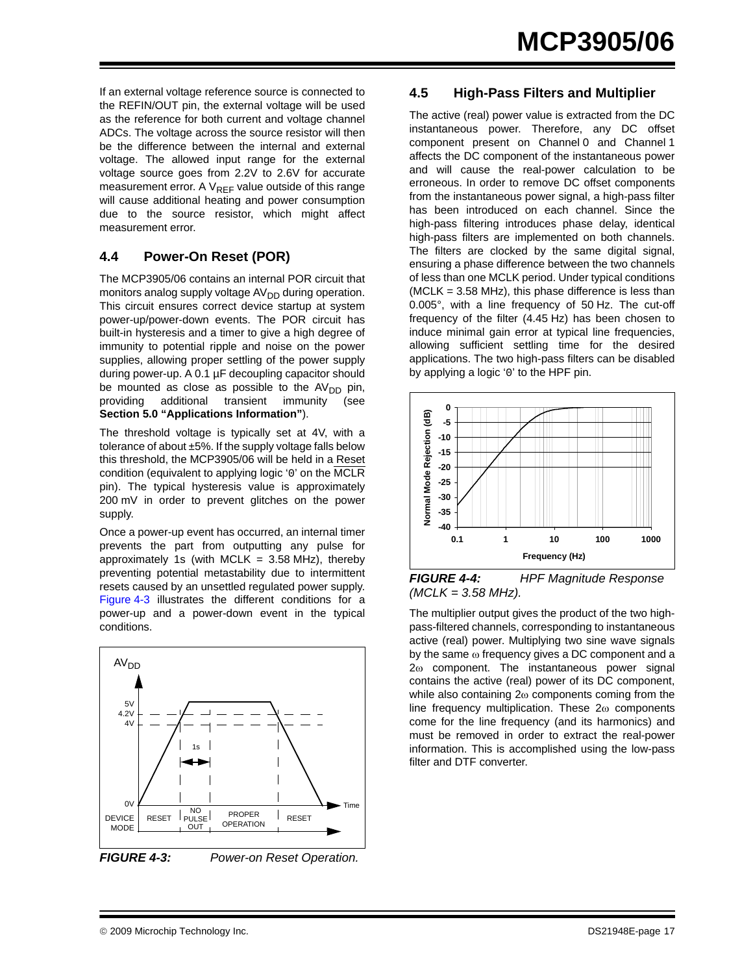If an external voltage reference source is connected to the REFIN/OUT pin, the external voltage will be used as the reference for both current and voltage channel ADCs. The voltage across the source resistor will then be the difference between the internal and external voltage. The allowed input range for the external voltage source goes from 2.2V to 2.6V for accurate measurement error. A  $V_{REF}$  value outside of this range will cause additional heating and power consumption due to the source resistor, which might affect measurement error.

#### **4.4 Power-On Reset (POR)**

The MCP3905/06 contains an internal POR circuit that monitors analog supply voltage  $AV<sub>DD</sub>$  during operation. This circuit ensures correct device startup at system power-up/power-down events. The POR circuit has built-in hysteresis and a timer to give a high degree of immunity to potential ripple and noise on the power supplies, allowing proper settling of the power supply during power-up. A 0.1 µF decoupling capacitor should be mounted as close as possible to the  $AV<sub>DD</sub>$  pin, providing additional transient immunity (see **[Section 5.0 "Applications Information"](#page-20-0)**).

The threshold voltage is typically set at 4V, with a tolerance of about ±5%. If the supply voltage falls below this threshold, the MCP3905/06 will be held in a Reset condition (equivalent to applying logic '0' on the MCLR pin). The typical hysteresis value is approximately 200 mV in order to prevent glitches on the power supply.

Once a power-up event has occurred, an internal timer prevents the part from outputting any pulse for approximately 1s (with MCLK =  $3.58$  MHz), thereby preventing potential metastability due to intermittent resets caused by an unsettled regulated power supply. [Figure 4-3](#page-16-0) illustrates the different conditions for a power-up and a power-down event in the typical conditions.



<span id="page-16-0"></span>*FIGURE 4-3: Power-on Reset Operation.*

#### **4.5 High-Pass Filters and Multiplier**

The active (real) power value is extracted from the DC instantaneous power. Therefore, any DC offset component present on Channel 0 and Channel 1 affects the DC component of the instantaneous power and will cause the real-power calculation to be erroneous. In order to remove DC offset components from the instantaneous power signal, a high-pass filter has been introduced on each channel. Since the high-pass filtering introduces phase delay, identical high-pass filters are implemented on both channels. The filters are clocked by the same digital signal, ensuring a phase difference between the two channels of less than one MCLK period. Under typical conditions  $(MCLK = 3.58 MHz)$ , this phase difference is less than 0.005°, with a line frequency of 50 Hz. The cut-off frequency of the filter (4.45 Hz) has been chosen to induce minimal gain error at typical line frequencies, allowing sufficient settling time for the desired applications. The two high-pass filters can be disabled by applying a logic '0' to the HPF pin.



*FIGURE 4-4: HPF Magnitude Response (MCLK = 3.58 MHz).*

The multiplier output gives the product of the two highpass-filtered channels, corresponding to instantaneous active (real) power. Multiplying two sine wave signals by the same ω frequency gives a DC component and a 2ω component. The instantaneous power signal contains the active (real) power of its DC component, while also containing 2ω components coming from the line frequency multiplication. These  $2\omega$  components come for the line frequency (and its harmonics) and must be removed in order to extract the real-power information. This is accomplished using the low-pass filter and DTF converter.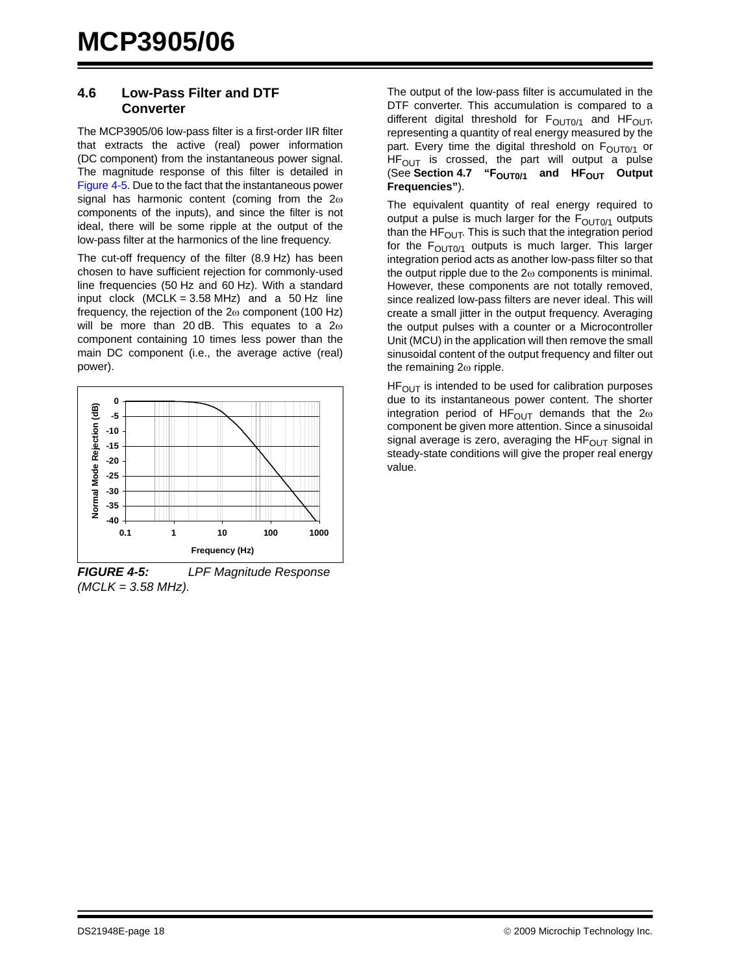#### <span id="page-17-1"></span>**4.6 Low-Pass Filter and DTF Converter**

The MCP3905/06 low-pass filter is a first-order IIR filter that extracts the active (real) power information (DC component) from the instantaneous power signal. The magnitude response of this filter is detailed in [Figure 4-5.](#page-17-0) Due to the fact that the instantaneous power signal has harmonic content (coming from the  $2\omega$ components of the inputs), and since the filter is not ideal, there will be some ripple at the output of the low-pass filter at the harmonics of the line frequency.

The cut-off frequency of the filter (8.9 Hz) has been chosen to have sufficient rejection for commonly-used line frequencies (50 Hz and 60 Hz). With a standard input clock  $(MCLK = 3.58 MHz)$  and a 50 Hz line frequency, the rejection of the  $2\omega$  component (100 Hz) will be more than 20 dB. This equates to a 2ω component containing 10 times less power than the main DC component (i.e., the average active (real) power).



<span id="page-17-0"></span>*FIGURE 4-5: LPF Magnitude Response (MCLK = 3.58 MHz).*

The output of the low-pass filter is accumulated in the DTF converter. This accumulation is compared to a different digital threshold for  $F_{\text{OUT0/1}}$  and  $HF_{\text{OUT}}$ , representing a quantity of real energy measured by the part. Every time the digital threshold on  $F<sub>OUT0/1</sub>$  or  $HF<sub>OUT</sub>$  is crossed, the part will output a pulse (See Section 4.7 "F<sub>OUT0/1</sub> and HF<sub>OUT</sub> Output **[Frequencies"](#page-18-1)**).

The equivalent quantity of real energy required to output a pulse is much larger for the  $F_{\text{OUT0/1}}$  outputs than the HF $_{\text{OUT}}$ . This is such that the integration period for the  $F<sub>OUT0/1</sub>$  outputs is much larger. This larger integration period acts as another low-pass filter so that the output ripple due to the  $2\omega$  components is minimal. However, these components are not totally removed, since realized low-pass filters are never ideal. This will create a small jitter in the output frequency. Averaging the output pulses with a counter or a Microcontroller Unit (MCU) in the application will then remove the small sinusoidal content of the output frequency and filter out the remaining 2ω ripple.

 $HF<sub>OUT</sub>$  is intended to be used for calibration purposes due to its instantaneous power content. The shorter integration period of HF<sub>OUT</sub> demands that the 2 $\omega$ component be given more attention. Since a sinusoidal signal average is zero, averaging the  $HF_{OUT}$  signal in steady-state conditions will give the proper real energy value.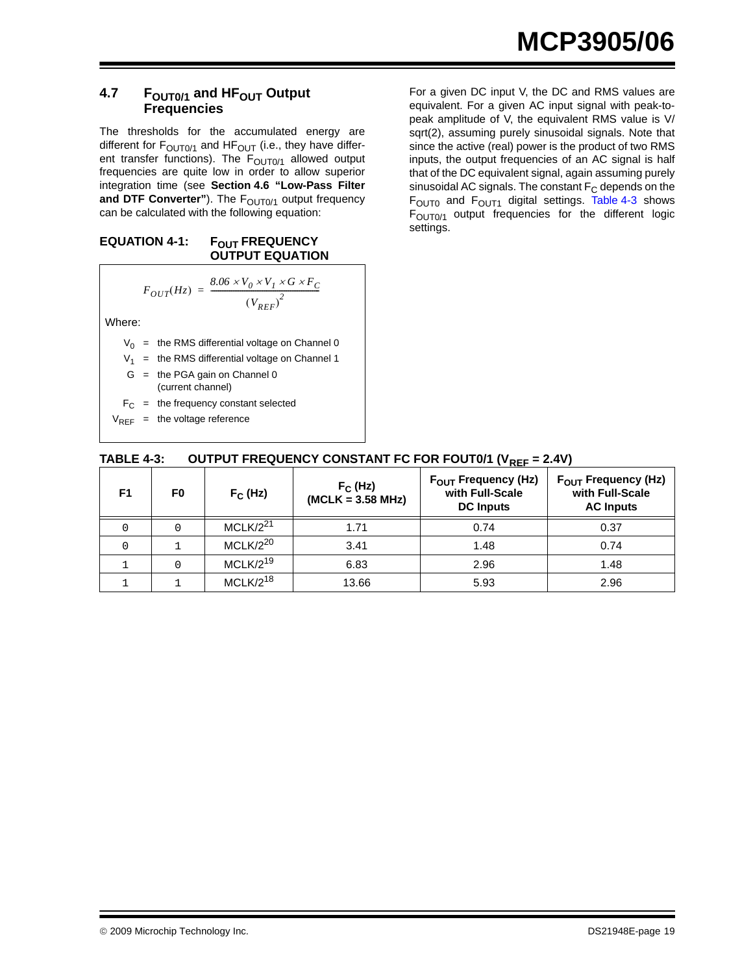#### <span id="page-18-1"></span>**4.7** F<sub>OUT0/1</sub> and HF<sub>OUT</sub> Output **Frequencies**

The thresholds for the accumulated energy are different for  $F<sub>OUT0/1</sub>$  and  $HF<sub>OUT</sub>$  (i.e., they have different transfer functions). The  $F<sub>OUT0/1</sub>$  allowed output frequencies are quite low in order to allow superior integration time (see **[Section 4.6 "Low-Pass Filter](#page-17-1)** [and DTF Converter"](#page-17-1)). The F<sub>OUT0/1</sub> output frequency can be calculated with the following equation:

#### <span id="page-18-0"></span>**EQUATION 4-1: FOUT FREQUENCY OUTPUT EQUATION**

$$
F_{OUT}(Hz) = \frac{8.06 \times V_0 \times V_1 \times G \times F_C}{(V_{REF})^2}
$$

Where:

- $V_0$  = the RMS differential voltage on Channel 0
- $V_1$  = the RMS differential voltage on Channel 1
- $G =$  the PGA gain on Channel 0 (current channel)
- $F_C$  = the frequency constant selected
- $V_{REF}$  = the voltage reference

For a given DC input V, the DC and RMS values are equivalent. For a given AC input signal with peak-topeak amplitude of V, the equivalent RMS value is V/ sqrt(2), assuming purely sinusoidal signals. Note that since the active (real) power is the product of two RMS inputs, the output frequencies of an AC signal is half that of the DC equivalent signal, again assuming purely sinusoidal AC signals. The constant  $F_C$  depends on the  $F<sub>OUT0</sub>$  and  $F<sub>OUT1</sub>$  digital settings. [Table 4-3](#page-18-2) shows  $F<sub>OUT0/1</sub>$  output frequencies for the different logic settings.

| IADLE 4-3.<br><b>OUTFUT FREQUENCY CONSTANT FUTOR FOUTUIT (VRFF = 4.4V)</b> |    |                      |                                   |                                                              |                                                                        |  |  |
|----------------------------------------------------------------------------|----|----------------------|-----------------------------------|--------------------------------------------------------------|------------------------------------------------------------------------|--|--|
| F <sub>1</sub>                                                             | F0 | $F_C$ (Hz)           | $F_C$ (Hz)<br>$(MCLK = 3.58 MHz)$ | $FOUT$ Frequency (Hz)<br>with Full-Scale<br><b>DC Inputs</b> | F <sub>OUT</sub> Frequency (Hz)<br>with Full-Scale<br><b>AC Inputs</b> |  |  |
|                                                                            |    | MCLK/2 <sup>21</sup> | 1.71                              | 0.74                                                         | 0.37                                                                   |  |  |
|                                                                            |    | $MCLK/2^{20}$        | 3.41                              | 1.48                                                         | 0.74                                                                   |  |  |
|                                                                            |    | $MCLK/2^{19}$        | 6.83                              | 2.96                                                         | 1.48                                                                   |  |  |
|                                                                            |    | $MCLK/2^{18}$        | 13.66                             | 5.93                                                         | 2.96                                                                   |  |  |

#### <span id="page-18-2"></span>**TABLE 4-3: OUTPUT FREQUENCY CONSTANT FC FOR FOUT0/1 (VREF = 2.4V)**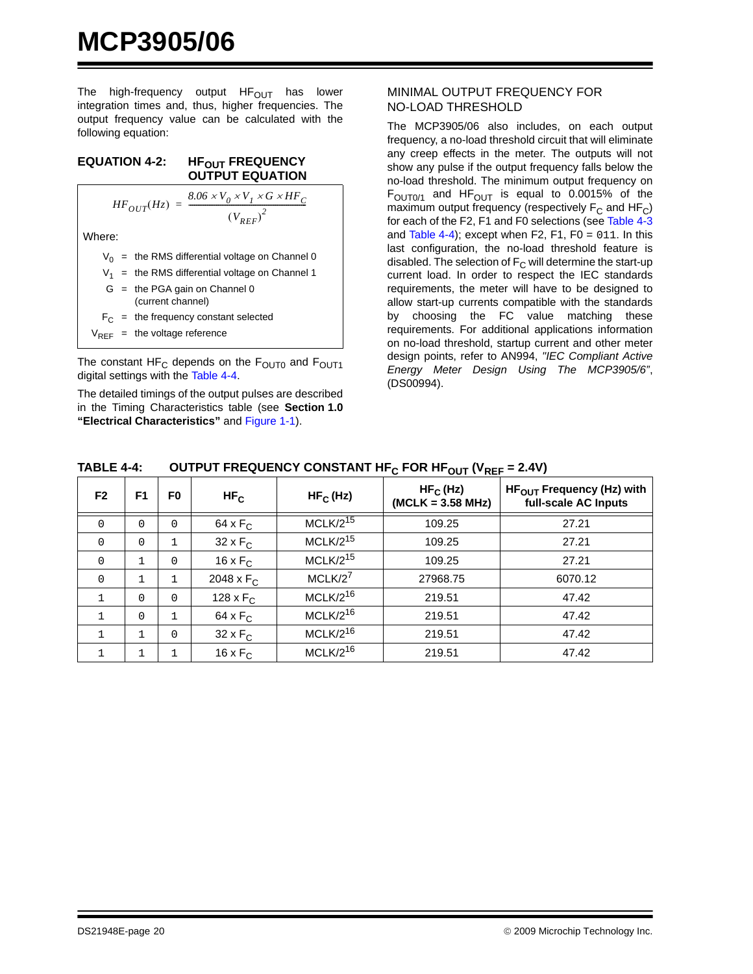The high-frequency output  $HF_{OUT}$  has lower integration times and, thus, higher frequencies. The output frequency value can be calculated with the following equation:

#### <span id="page-19-0"></span>**EQUATION 4-2: HF<sub>OUT</sub> FREQUENCY OUTPUT EQUATION**

$$
HF_{OUT}(Hz) = \frac{8.06 \times V_0 \times V_1 \times G \times HF_C}{(V_{REF})^2}
$$

Where:

 $V_0$  = the RMS differential voltage on Channel 0

 $V_1$  = the RMS differential voltage on Channel 1

 $G =$  the PGA gain on Channel 0 (current channel)

 $F_C$  = the frequency constant selected

 $V_{REF}$  = the voltage reference

The constant HF<sub>C</sub> depends on the  $F_{\text{OUT0}}$  and  $F_{\text{OUT1}}$ digital settings with the [Table 4-4.](#page-19-1)

The detailed timings of the output pulses are described in the [Timing Characteristics](#page-4-3) table (see **[Section 1.0](#page-2-8) ["Electrical Characteristics"](#page-2-8)** and [Figure 1-1](#page-4-4)).

#### MINIMAL OUTPUT FREQUENCY FOR NO-LOAD THRESHOLD

The MCP3905/06 also includes, on each output frequency, a no-load threshold circuit that will eliminate any creep effects in the meter. The outputs will not show any pulse if the output frequency falls below the no-load threshold. The minimum output frequency on  $F<sub>OUT0/1</sub>$  and  $HF<sub>OUT</sub>$  is equal to 0.0015% of the maximum output frequency (respectively  $F_C$  and  $HF_C$ ) for each of the F2, F1 and F0 selections (see [Table 4-3](#page-18-2) and [Table 4-4\)](#page-19-1); except when F2, F1, F0 =  $011$ . In this last configuration, the no-load threshold feature is disabled. The selection of  $F<sub>C</sub>$  will determine the start-up current load. In order to respect the IEC standards requirements, the meter will have to be designed to allow start-up currents compatible with the standards by choosing the FC value matching these requirements. For additional applications information on no-load threshold, startup current and other meter design points, refer to AN994, *"IEC Compliant Active Energy Meter Design Using The MCP3905/6"*, (DS00994).

|                |                |          |                 |                                 | ັ<br><b>UUI ' IILI</b>            |                                                               |
|----------------|----------------|----------|-----------------|---------------------------------|-----------------------------------|---------------------------------------------------------------|
| F <sub>2</sub> | F <sub>1</sub> | F0       | $HF_C$          | $HF_C(Hz)$                      | $HF_C(Hz)$<br>$(MCLK = 3.58 MHz)$ | HF <sub>OUT</sub> Frequency (Hz) with<br>full-scale AC Inputs |
| $\Omega$       | $\Omega$       | $\Omega$ | 64 x $F_C$      | MCLK <sub>2</sub> <sup>15</sup> | 109.25                            | 27.21                                                         |
| $\mathbf 0$    | $\mathbf 0$    |          | $32 \times F_C$ | $MCLK/2^{15}$                   | 109.25                            | 27.21                                                         |
| $\Omega$       | $\mathbf{1}$   | $\Omega$ | 16 x $F_C$      | $MCLK/2^{15}$                   | 109.25                            | 27.21                                                         |
| $\Omega$       | $\mathbf{1}$   |          | 2048 x $F_C$    | $MCLK/2^7$                      | 27968.75                          | 6070.12                                                       |
| 1              | $\mathbf 0$    | $\Omega$ | 128 x $F_C$     | $MCLK/2^{16}$                   | 219.51                            | 47.42                                                         |
| $\mathbf{1}$   | $\Omega$       |          | 64 x $F_C$      | $MCLK/2^{16}$                   | 219.51                            | 47.42                                                         |
| 1              | 1              | $\Omega$ | $32 \times F_C$ | $MCLK/2^{16}$                   | 219.51                            | 47.42                                                         |
| 1              | $\mathbf 1$    |          | 16 x $F_C$      | $MCLK/2^{16}$                   | 219.51                            | 47.42                                                         |

#### <span id="page-19-1"></span>**TABLE 4-4: OUTPUT FREQUENCY CONSTANT HF<sub>C</sub> FOR HF<sub>OUT</sub> (V<sub>PFF</sub> = 2.4V)**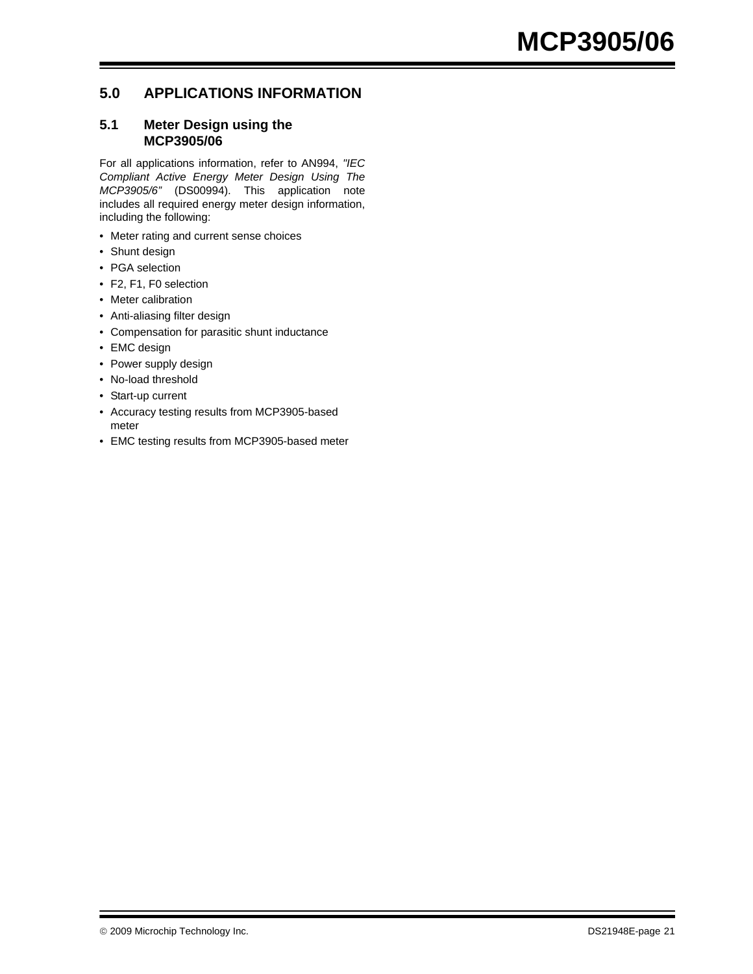## <span id="page-20-0"></span>**5.0 APPLICATIONS INFORMATION**

#### **5.1 Meter Design using the MCP3905/06**

For all applications information, refer to AN994, *"IEC Compliant Active Energy Meter Design Using The MCP3905/6"* (DS00994). This application note includes all required energy meter design information, including the following:

- Meter rating and current sense choices
- Shunt design
- PGA selection
- F2, F1, F0 selection
- Meter calibration
- Anti-aliasing filter design
- Compensation for parasitic shunt inductance
- EMC design
- Power supply design
- No-load threshold
- Start-up current
- Accuracy testing results from MCP3905-based meter
- EMC testing results from MCP3905-based meter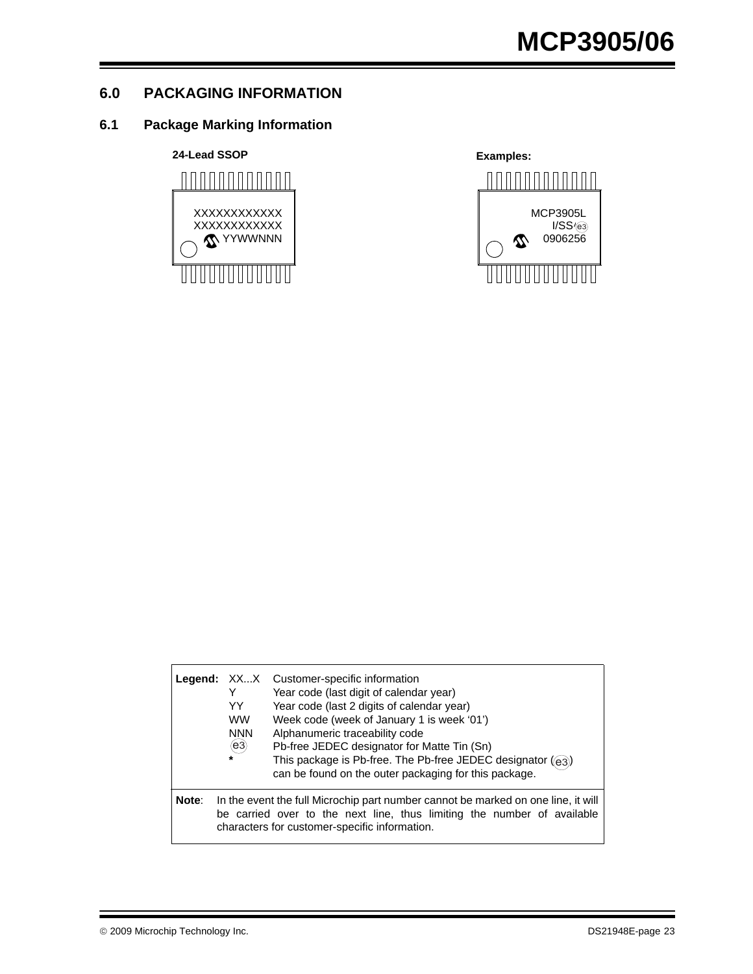## **6.0 PACKAGING INFORMATION**

## **6.1 Package Marking Information**

#### **24-Lead SSOP**



| Examples:                     |
|-------------------------------|
|                               |
| MCP3905L<br>I/SS @<br>0906256 |
|                               |

|       | YY.<br><b>WW</b><br><b>NNN</b><br>(e3)<br>$\star$ | Legend: XXX Customer-specific information<br>Year code (last digit of calendar year)<br>Year code (last 2 digits of calendar year)<br>Week code (week of January 1 is week '01')<br>Alphanumeric traceability code<br>Pb-free JEDEC designator for Matte Tin (Sn)<br>This package is Pb-free. The Pb-free JEDEC designator ((e3))<br>can be found on the outer packaging for this package. |
|-------|---------------------------------------------------|--------------------------------------------------------------------------------------------------------------------------------------------------------------------------------------------------------------------------------------------------------------------------------------------------------------------------------------------------------------------------------------------|
| Note: |                                                   | In the event the full Microchip part number cannot be marked on one line, it will<br>be carried over to the next line, thus limiting the number of available<br>characters for customer-specific information.                                                                                                                                                                              |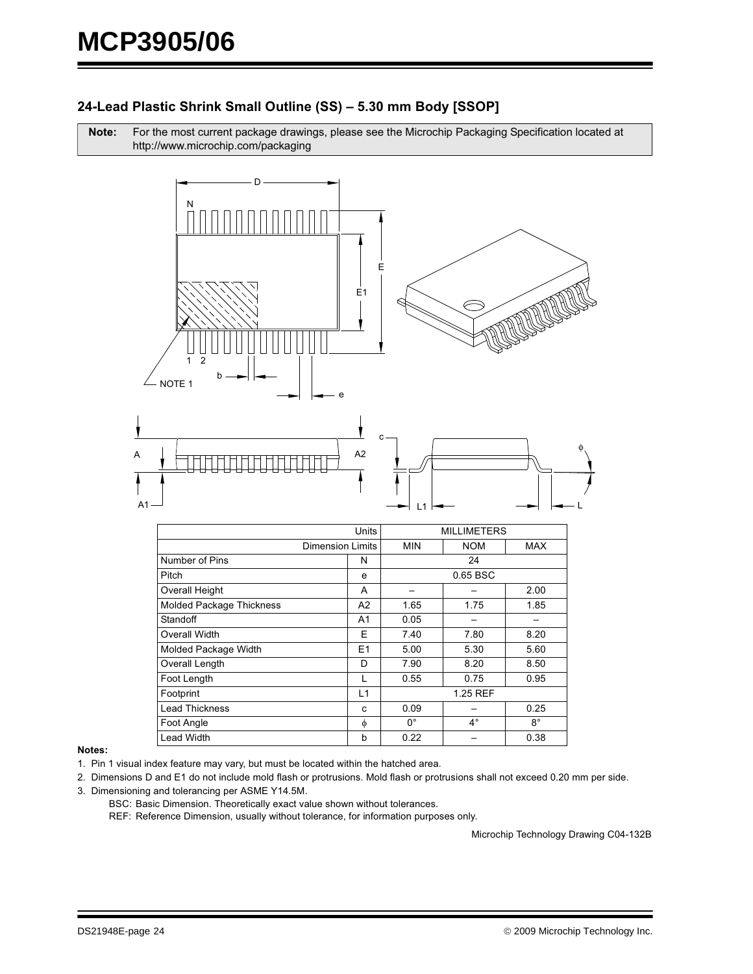#### 24-Lead Plastic Shrink Small Outline (SS) - 5.30 mm Body [SSOP]

Note: For the most current package drawings, please see the Microchip Packaging Specification located at http://www.microchip.com/packaging



|                                 | Units          |             | <b>MILLIMETERS</b> |             |
|---------------------------------|----------------|-------------|--------------------|-------------|
| <b>Dimension Limits</b>         |                | <b>MIN</b>  | <b>NOM</b>         | <b>MAX</b>  |
| Number of Pins                  | N              |             | 24                 |             |
| Pitch                           | е              |             | 0.65 BSC           |             |
| <b>Overall Height</b>           | A              |             |                    | 2.00        |
| <b>Molded Package Thickness</b> | A <sub>2</sub> | 1.65        | 1.75               | 1.85        |
| Standoff                        | A1             | 0.05        |                    |             |
| Overall Width                   | E              | 7.40        | 7.80               | 8.20        |
| Molded Package Width            | E1             | 5.00        | 5.30               | 5.60        |
| Overall Length                  | D              | 7.90        | 8.20               | 8.50        |
| Foot Length                     |                | 0.55        | 0.75               | 0.95        |
| Footprint                       | L1             |             | 1.25 REF           |             |
| <b>Lead Thickness</b>           | C              | 0.09        |                    | 0.25        |
| Foot Angle                      | φ              | $0^{\circ}$ | 4°                 | $8^{\circ}$ |
| <b>Lead Width</b>               | b              | 0.22        |                    | 0.38        |

#### Notes:

1. Pin 1 visual index feature may vary, but must be located within the hatched area.

2. Dimensions D and E1 do not include mold flash or protrusions. Mold flash or protrusions shall not exceed 0.20 mm per side.

- 3. Dimensioning and tolerancing per ASME Y14.5M.
	- BSC: Basic Dimension. Theoretically exact value shown without tolerances.

REF: Reference Dimension, usually without tolerance, for information purposes only.

Microchip Technology Drawing C04-132B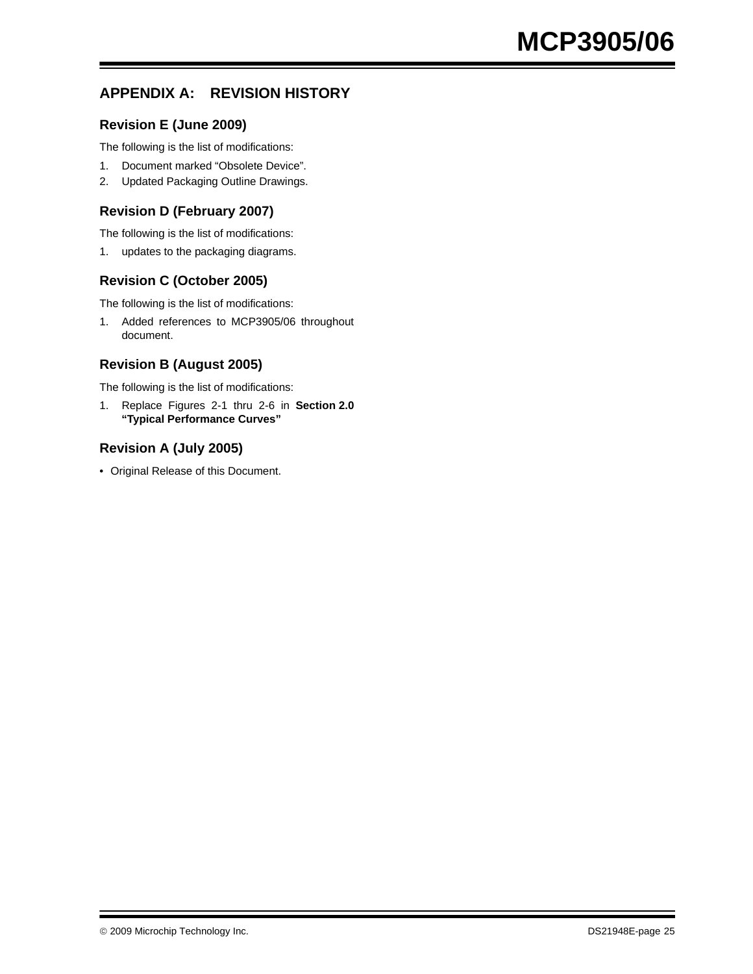## **APPENDIX A: REVISION HISTORY**

#### **Revision E (June 2009)**

The following is the list of modifications:

- 1. Document marked "Obsolete Device".
- 2. Updated Packaging Outline Drawings.

### **Revision D (February 2007)**

The following is the list of modifications:

1. updates to the packaging diagrams.

#### **Revision C (October 2005)**

The following is the list of modifications:

1. Added references to MCP3905/06 throughout document.

#### **Revision B (August 2005)**

The following is the list of modifications:

1. Replace Figures 2-1 thru 2-6 in **[Section 2.0](#page-6-1) ["Typical Performance Curves"](#page-6-1)**

#### **Revision A (July 2005)**

• Original Release of this Document.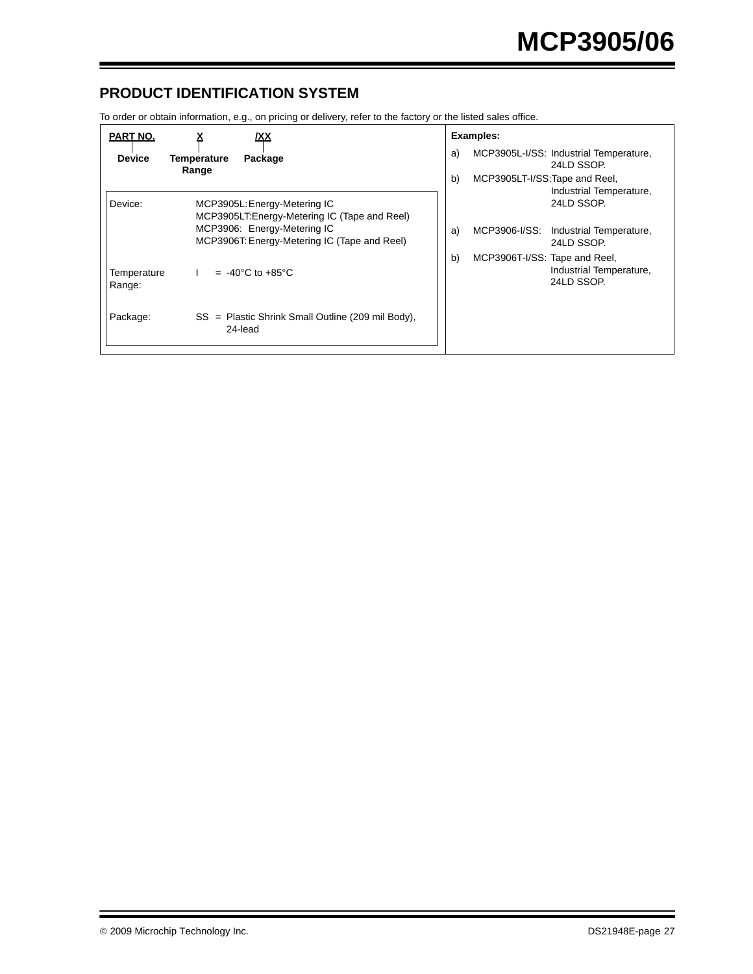## **PRODUCT IDENTIFICATION SYSTEM**

To order or obtain information, e.g., on pricing or delivery, refer to the factory or the listed sales office.

| <u>PART NO.</u>       | <b>IXX</b>                                                                   | Examples: |                                                                        |  |  |
|-----------------------|------------------------------------------------------------------------------|-----------|------------------------------------------------------------------------|--|--|
| <b>Device</b>         | Temperature<br>Package<br>Range                                              | a)        | MCP3905L-I/SS: Industrial Temperature,<br>24LD SSOP.                   |  |  |
|                       |                                                                              | b)        | MCP3905LT-I/SS: Tape and Reel,<br>Industrial Temperature,              |  |  |
| Device:               | MCP3905L: Energy-Metering IC<br>MCP3905LT:Energy-Metering IC (Tape and Reel) |           | 24LD SSOP.                                                             |  |  |
|                       | MCP3906: Energy-Metering IC<br>MCP3906T: Energy-Metering IC (Tape and Reel)  | a)        | MCP3906-I/SS: Industrial Temperature,<br>24LD SSOP.                    |  |  |
| Temperature<br>Range: | $= -40^{\circ}$ C to $+85^{\circ}$ C                                         | b)        | MCP3906T-I/SS: Tape and Reel,<br>Industrial Temperature,<br>24LD SSOP. |  |  |
| Package:              | SS = Plastic Shrink Small Outline (209 mil Body),<br>24-lead                 |           |                                                                        |  |  |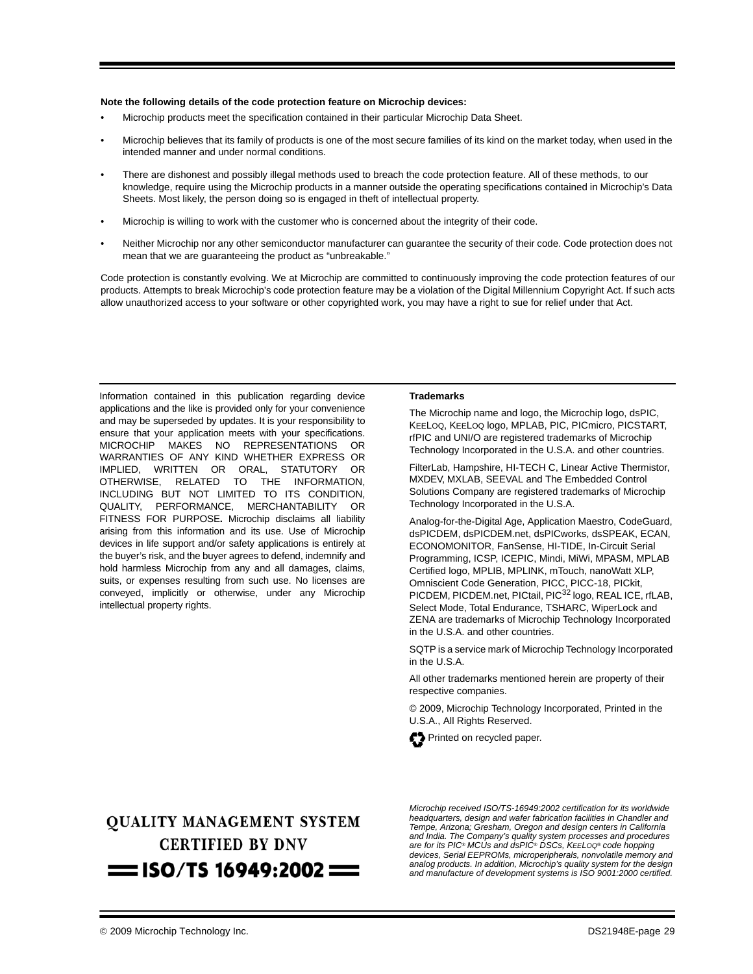#### **Note the following details of the code protection feature on Microchip devices:**

- Microchip products meet the specification contained in their particular Microchip Data Sheet.
- Microchip believes that its family of products is one of the most secure families of its kind on the market today, when used in the intended manner and under normal conditions.
- There are dishonest and possibly illegal methods used to breach the code protection feature. All of these methods, to our knowledge, require using the Microchip products in a manner outside the operating specifications contained in Microchip's Data Sheets. Most likely, the person doing so is engaged in theft of intellectual property.
- Microchip is willing to work with the customer who is concerned about the integrity of their code.
- Neither Microchip nor any other semiconductor manufacturer can guarantee the security of their code. Code protection does not mean that we are guaranteeing the product as "unbreakable."

Code protection is constantly evolving. We at Microchip are committed to continuously improving the code protection features of our products. Attempts to break Microchip's code protection feature may be a violation of the Digital Millennium Copyright Act. If such acts allow unauthorized access to your software or other copyrighted work, you may have a right to sue for relief under that Act.

Information contained in this publication regarding device applications and the like is provided only for your convenience and may be superseded by updates. It is your responsibility to ensure that your application meets with your specifications. MICROCHIP MAKES NO REPRESENTATIONS OR WARRANTIES OF ANY KIND WHETHER EXPRESS OR IMPLIED, WRITTEN OR ORAL, STATUTORY OR OTHERWISE, RELATED TO THE INFORMATION, INCLUDING BUT NOT LIMITED TO ITS CONDITION, QUALITY, PERFORMANCE, MERCHANTABILITY OR FITNESS FOR PURPOSE**.** Microchip disclaims all liability arising from this information and its use. Use of Microchip devices in life support and/or safety applications is entirely at the buyer's risk, and the buyer agrees to defend, indemnify and hold harmless Microchip from any and all damages, claims, suits, or expenses resulting from such use. No licenses are conveyed, implicitly or otherwise, under any Microchip intellectual property rights.

#### **Trademarks**

The Microchip name and logo, the Microchip logo, dsPIC, KEELOQ, KEELOQ logo, MPLAB, PIC, PICmicro, PICSTART, rfPIC and UNI/O are registered trademarks of Microchip Technology Incorporated in the U.S.A. and other countries.

FilterLab, Hampshire, HI-TECH C, Linear Active Thermistor, MXDEV, MXLAB, SEEVAL and The Embedded Control Solutions Company are registered trademarks of Microchip Technology Incorporated in the U.S.A.

Analog-for-the-Digital Age, Application Maestro, CodeGuard, dsPICDEM, dsPICDEM.net, dsPICworks, dsSPEAK, ECAN, ECONOMONITOR, FanSense, HI-TIDE, In-Circuit Serial Programming, ICSP, ICEPIC, Mindi, MiWi, MPASM, MPLAB Certified logo, MPLIB, MPLINK, mTouch, nanoWatt XLP, Omniscient Code Generation, PICC, PICC-18, PICkit, PICDEM, PICDEM.net, PICtail, PIC<sup>32</sup> logo, REAL ICE, rfLAB, Select Mode, Total Endurance, TSHARC, WiperLock and ZENA are trademarks of Microchip Technology Incorporated in the U.S.A. and other countries.

SQTP is a service mark of Microchip Technology Incorporated in the U.S.A.

All other trademarks mentioned herein are property of their respective companies.

© 2009, Microchip Technology Incorporated, Printed in the U.S.A., All Rights Reserved.



## **OUALITY MANAGEMENT SYSTEM CERTIFIED BY DNV**  $=$  ISO/TS 16949:2002  $=$

*Microchip received ISO/TS-16949:2002 certification for its worldwide headquarters, design and wafer fabrication facilities in Chandler and Tempe, Arizona; Gresham, Oregon and design centers in California and India. The Company's quality system processes and procedures are for its PIC® MCUs and dsPIC® DSCs, KEELOQ® code hopping devices, Serial EEPROMs, microperipherals, nonvolatile memory and analog products. In addition, Microchip's quality system for the design and manufacture of development systems is ISO 9001:2000 certified.*